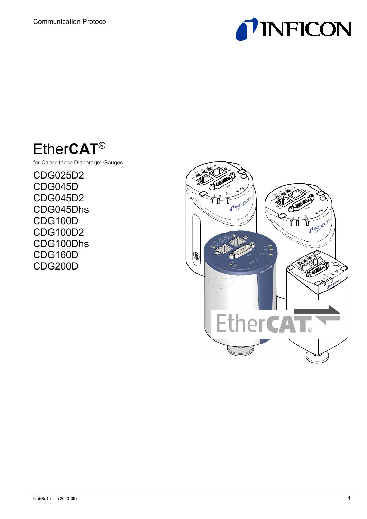



for Capacitance Diaphragm Gauges

CDG025D2 CDG045D CDG045D2 CDG045Dhs CDG100D CDG100D2 CDG100Dhs CDG160D CDG200D

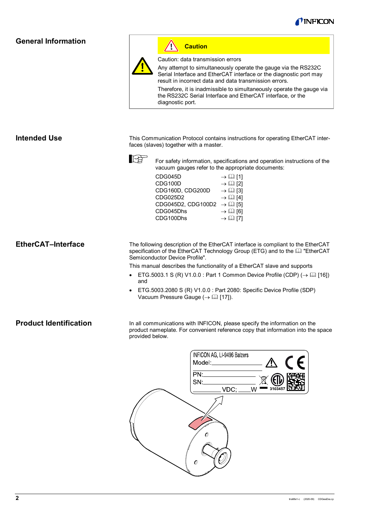

# <span id="page-1-0"></span>**General Information**



**Caution**

Caution: data transmission errors

Any attempt to simultaneously operate the gauge via the RS232C Serial Interface and EtherCAT interface or the diagnostic port may result in incorrect data and data transmission errors.

Therefore, it is inadmissible to simultaneously operate the gauge via the RS232C Serial Interface and EtherCAT interface, or the diagnostic port.

<span id="page-1-1"></span>**Intended Use**

This Communication Protocol contains instructions for operating EtherCAT interfaces (slaves) together with a master.



For safety information, specifications and operation instructions of the vacuum gauges refer to the appropriate documents:

| CDG045D            | $\rightarrow \Box$ [1]     |
|--------------------|----------------------------|
| CDG100D            | $\rightarrow$ $\Omega$ [2] |
| CDG160D, CDG200D   | $\rightarrow \Box$ [3]     |
| CDG025D2           | $\rightarrow$ $\Box$ [4]   |
| CDG045D2, CDG100D2 | $\rightarrow$ (1) [5]      |
| CDG045Dhs          | $\rightarrow$ [2] [6]      |
| CDG100Dhs          | $\rightarrow \Box$ [7]     |
|                    |                            |

<span id="page-1-2"></span>**EtherCAT–Interface**

The following description of the EtherCAT interface is compliant to the EtherCAT specification of the EtherCAT Technology Group (ETG) and to the **Q** "EtherCAT Semiconductor Device Profile".

This manual describes the functionality of a EtherCAT slave and supports

- ETG.5003.1 S (R) V1.0.0 : Part 1 Common Device Profile (CDP)  $(\rightarrow \Box$  [\[16\]\)](#page-39-7) and
- ETG.5003.2080 S (R) V1.0.0 : Part 2080: Specific Device Profile (SDP) Vacuum Pressure Gauge ( $\rightarrow$  [\[17\]\)](#page-40-0).

### <span id="page-1-3"></span>**Product Identification**

In all communications with INFICON, please specify the information on the product nameplate. For convenient reference copy that information into the space provided below.

| INFICON AG, LI-9496 Balzers<br>Model:________________ | <u>/\</u> | $\epsilon$ |
|-------------------------------------------------------|-----------|------------|
| PN:                                                   |           |            |
| $VDC$ ; ____W                                         | 3103457   |            |
| 0<br>O)                                               |           |            |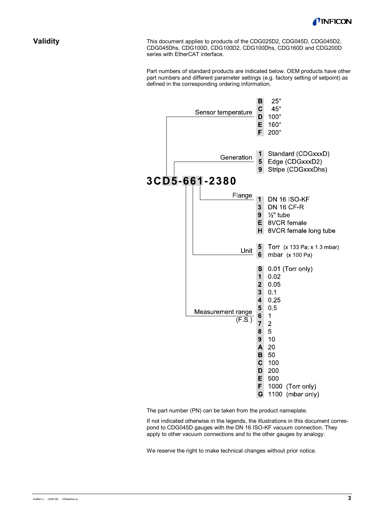

### <span id="page-2-0"></span>**Validity**

This document applies to products of the CDG025D2, CDG045D, CDG045D2, CDG045Dhs, CDG100D, CDG100D2, CDG100Dhs, CDG160D and CDG200D series with EtherCAT interface.

Part numbers of standard products are indicated below. OEM products have other part numbers and different parameter settings (e.g. factory setting of setpoint) as defined in the corresponding ordering information.



The part number (PN) can be taken from the product nameplate.

If not indicated otherwise in the legends, the illustrations in this document correspond to CDG045D gauges with the DN 16 ISO-KF vacuum connection. They apply to other vacuum connections and to the other gauges by analogy.

We reserve the right to make technical changes without prior notice.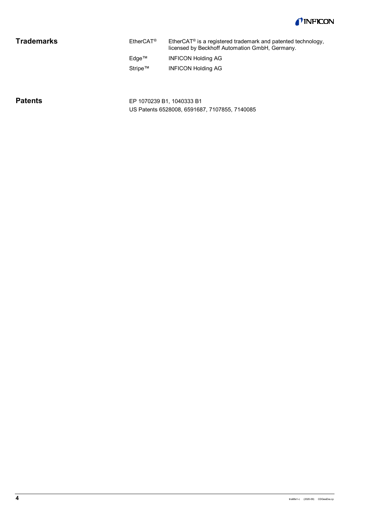

# <span id="page-3-0"></span>**Trademarks**

| $E$ therCAT® | EtherCAT <sup>®</sup> is a registered trademark and patented technology,<br>licensed by Beckhoff Automation GmbH, Germany. |
|--------------|----------------------------------------------------------------------------------------------------------------------------|
| Edge™        | <b>INFICON Holding AG</b>                                                                                                  |
| Stripe™      | <b>INFICON Holding AG</b>                                                                                                  |

# <span id="page-3-1"></span>**Patents**

EP 1070239 B1, 1040333 B1 US Patents 6528008, 6591687, 7107855, 7140085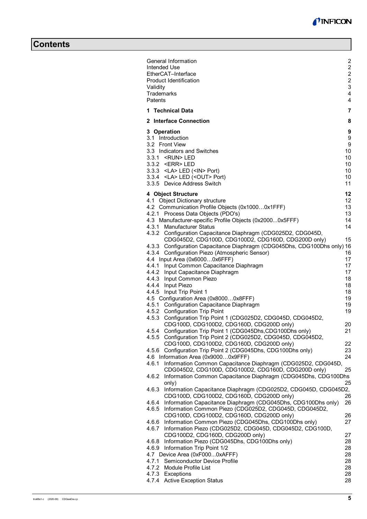# **Contents**

| General Information                                                      | 2                       |
|--------------------------------------------------------------------------|-------------------------|
|                                                                          | $\overline{c}$          |
| Intended Use                                                             |                         |
| EtherCAT-Interface                                                       | $\overline{c}$          |
| Product Identification                                                   | $\overline{a}$          |
| Validity                                                                 | 3                       |
| Trademarks                                                               | $\overline{\mathbf{4}}$ |
| Patents                                                                  | $\overline{4}$          |
| 1 Technical Data                                                         | $\overline{7}$          |
| 2 Interface Connection                                                   | 8                       |
| 3 Operation                                                              | 9                       |
| 3.1 Introduction                                                         | 9                       |
| 3.2 Front View                                                           | 9                       |
| 3.3 Indicators and Switches                                              | 10                      |
| 3.3.1 <run>LED</run>                                                     | 10                      |
|                                                                          | 10                      |
| 3.3.2 <err>LED</err>                                                     |                         |
| 3.3.3 <la> LED (<in> Port)</in></la>                                     | 10                      |
| 3.3.4 <la> LED (<out> Port)</out></la>                                   | 10                      |
| 3.3.5 Device Address Switch                                              | 11                      |
| 4 Object Structure                                                       | 12                      |
| 4.1 Object Dictionary structure                                          | 12                      |
| 4.2 Communication Profile Objects (0x10000x1FFF)                         | 13                      |
| 4.2.1 Process Data Objects (PDO's)                                       | 13                      |
| 4.3 Manufacturer-specific Profile Objects (0x20000x5FFF)                 | 14                      |
| 4.3.1 Manufacturer Status                                                | 14                      |
| 4.3.2 Configuration Capacitance Diaphragm (CDG025D2, CDG045D,            |                         |
| CDG045D2, CDG100D, CDG100D2, CDG160D, CDG200D only)                      | 15                      |
| 4.3.3 Configuration Capacitance Diaphragm (CDG045Dhs, CDG100Dhs only) 16 |                         |
| 4.3.4 Configuration Piezo (Atmospheric Sensor)                           | 16                      |
| 4.4 Input Area (0x60000x6FFF)                                            | 17                      |
| 4.4.1 Input Common Capacitance Diaphragm                                 | 17                      |
| 4.4.2 Input Capacitance Diaphragm                                        | 17                      |
| 4.4.3 Input Common Piezo                                                 | 18                      |
| 4.4.4 Input Piezo                                                        | 18                      |
| 4.4.5 Input Trip Point 1                                                 | 18                      |
| 4.5 Configuration Area (0x80000x8FFF)                                    | 19                      |
| 4.5.1 Configuration Capacitance Diaphragm                                | 19                      |
| 4.5.2 Configuration Trip Point                                           | 19                      |
| 4.5.3 Configuration Trip Point 1 (CDG025D2, CDG045D, CDG045D2,           |                         |
| CDG100D, CDG100D2, CDG160D, CDG200D only)                                | 20                      |
| 4.5.4<br>Configuration Trip Point 1 (CDG045Dhs, CDG100Dhs only)          | 21                      |
| Configuration Trip Point 2 (CDG025D2, CDG045D, CDG045D2,<br>4.5.5        |                         |
| CDG100D, CDG100D2, CDG160D, CDG200D only)                                | 22                      |
| Configuration Trip Point 2 (CDG045Dhs, CDG100Dhs only)<br>4.5.6          | 23                      |
| 4.6 Information Area (0x90000x9FFF)                                      | 24                      |
| Information Common Capacitance Diaphragm (CDG025D2, CDG045D,<br>4.6.1    |                         |
| CDG045D2, CDG100D, CDG100D2, CDG160D, CDG200D only)                      | 25                      |
| Information Common Capacitance Diaphragm (CDG045Dhs, CDG100Dhs<br>4.6.2  |                         |
| only)                                                                    | 25                      |
| Information Capacitance Diaphragm (CDG025D2, CDG045D, CDG045D2,<br>4.6.3 |                         |
| CDG100D, CDG100D2, CDG160D, CDG200D only)                                | 26                      |
| Information Capacitance Diaphragm (CDG045Dhs, CDG100Dhs only)<br>4.6.4   | 26                      |
| Information Common Piezo (CDG025D2, CDG045D, CDG045D2,<br>4.6.5          |                         |
| CDG100D, CDG100D2, CDG160D, CDG200D only)                                | 26                      |
| Information Common Piezo (CDG045Dhs, CDG100Dhs only)<br>4.6.6            | 27                      |
| Information Piezo (CDG025D2, CDG045D, CDG045D2, CDG100D,<br>4.6.7        |                         |
| CDG100D2, CDG160D, CDG200D only)                                         | 27                      |
| Information Piezo (CDG045Dhs, CDG100Dhs only)                            | 28                      |
| 4.6.8                                                                    |                         |
| 4.6.9 Information Trip Point 1/2                                         | 28                      |
| 4.7 Device Area (0xF0000xAFFF)                                           | 28                      |
| Semiconductor Device Profile<br>4.7.1                                    | 28                      |
| Module Profile List<br>4.7.2<br>4.7.3 Exceptions                         | 28<br>28                |
| 4.7.4 Active Exception Status                                            | 28                      |
|                                                                          |                         |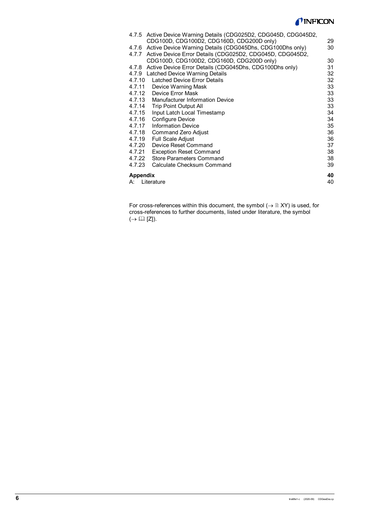# *TINFICON*

| A:       | Literature                                                                                                     | 40       |
|----------|----------------------------------------------------------------------------------------------------------------|----------|
| Appendix |                                                                                                                | 40       |
| 4.7.23   | Calculate Checksum Command                                                                                     | 39       |
| 4.7.22   | <b>Store Parameters Command</b>                                                                                | 38       |
| 4.7.21   | <b>Exception Reset Command</b>                                                                                 | 38       |
| 4.7.20   | Device Reset Command                                                                                           | 37       |
| 4.7.19   | <b>Full Scale Adjust</b>                                                                                       | 36       |
| 4.7.18   | Command Zero Adjust                                                                                            | 36       |
| 4.7.17   | <b>Information Device</b>                                                                                      | 35       |
| 4.7.16   | Configure Device                                                                                               | 34       |
| 4.7.15   | Input Latch Local Timestamp                                                                                    | 34       |
| 4.7.14   | <b>Trip Point Output All</b>                                                                                   | 33       |
| 4.7.13   | <b>Manufacturer Information Device</b>                                                                         | 33<br>33 |
| 4.7.12   | 4.7.11 Device Warning Mask<br>Device Error Mask                                                                | 33       |
| 4.7.10   | Latched Device Error Details                                                                                   | 32       |
|          | 4.7.9 Latched Device Warning Details                                                                           | 32       |
|          | 4.7.8 Active Device Error Details (CDG045Dhs, CDG100Dhs only)                                                  | 31       |
|          | 4.7.7 Active Device Error Details (CDG025D2, CDG045D, CDG045D2,<br>CDG100D, CDG100D2, CDG160D, CDG200D only)   | 30       |
|          | 4.7.6 Active Device Warning Details (CDG045Dhs, CDG100Dhs only)                                                | 30       |
|          | 4.7.5 Active Device Warning Details (CDG025D2, CDG045D, CDG045D2,<br>CDG100D, CDG100D2, CDG160D, CDG200D only) | 29       |
|          |                                                                                                                |          |

For cross-references within this document, the symbol  $(\rightarrow \mathbb{B} XY)$  is used, for cross-references to further documents, listed under literature, the symbol  $(\rightarrow \Box \Box$ [Z]).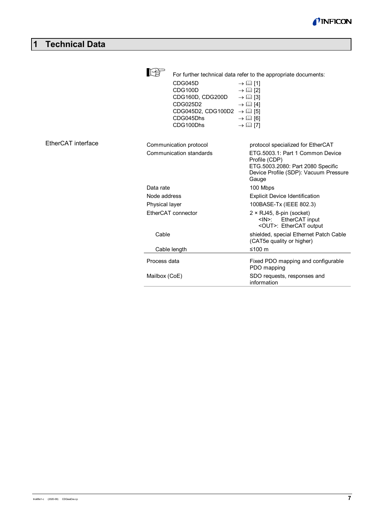

# <span id="page-6-0"></span>**1 Technical Data**

|                    | CDG045D<br>CDG100D<br>CDG160D, CDG200D<br>CDG025D2<br>CDG045D2, CDG100D2 $\rightarrow$ [1]<br>CDG045Dhs<br>CDG100Dhs | For further technical data refer to the appropriate documents:<br>$\rightarrow \Box$ [1]<br>$\rightarrow \Box$ [2]<br>$\rightarrow \Box$ [3]<br>$\rightarrow \Box$ [4]<br>$\rightarrow \Box$ [6]<br>$\rightarrow \Box$ [7] |
|--------------------|----------------------------------------------------------------------------------------------------------------------|----------------------------------------------------------------------------------------------------------------------------------------------------------------------------------------------------------------------------|
| EtherCAT interface | Communication protocol                                                                                               | protocol specialized for EtherCAT                                                                                                                                                                                          |
|                    | Communication standards                                                                                              | ETG.5003.1: Part 1 Common Device<br>Profile (CDP)<br>ETG.5003.2080: Part 2080 Specific<br>Device Profile (SDP): Vacuum Pressure<br>Gauge                                                                                   |
|                    | Data rate                                                                                                            | 100 Mbps                                                                                                                                                                                                                   |
|                    | Node address                                                                                                         | <b>Explicit Device Identification</b>                                                                                                                                                                                      |
|                    | Physical layer                                                                                                       | 100BASE-Tx (IEEE 802.3)                                                                                                                                                                                                    |
|                    | EtherCAT connector                                                                                                   | $2 \times RJ45$ , 8-pin (socket)<br>EtherCAT input<br><ln>:<br/><out>: EtherCAT output</out></ln>                                                                                                                          |
|                    | Cable                                                                                                                | shielded, special Ethernet Patch Cable<br>(CAT5e quality or higher)                                                                                                                                                        |
|                    | Cable length                                                                                                         | ≤100 m                                                                                                                                                                                                                     |
|                    | Process data                                                                                                         | Fixed PDO mapping and configurable<br>PDO mapping                                                                                                                                                                          |
|                    | Mailbox (CoE)                                                                                                        | SDO requests, responses and<br>information                                                                                                                                                                                 |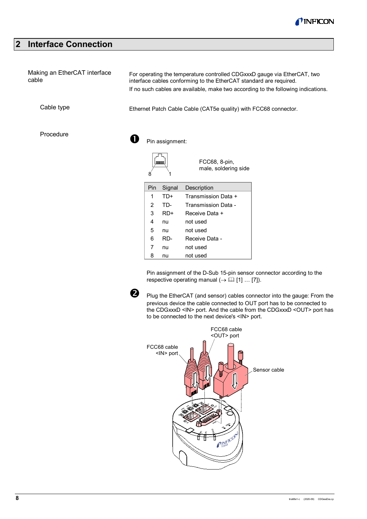

# <span id="page-7-0"></span>**2 Interface Connection**

| Making an EtherCAT interface<br>cable | For operating the temperature controlled CDGxxxD gauge via EtherCAT, two<br>interface cables conforming to the EtherCAT standard are required.<br>If no such cables are available, make two according to the following indications. |
|---------------------------------------|-------------------------------------------------------------------------------------------------------------------------------------------------------------------------------------------------------------------------------------|
| Cable type                            | Ethernet Patch Cable Cable (CAT5e quality) with FCC68 connector.                                                                                                                                                                    |
| Procedure                             | Pin assignment:                                                                                                                                                                                                                     |
|                                       | FCC68, 8-pin,<br><b>Lannone</b><br>male, soldering side<br>8                                                                                                                                                                        |
|                                       | Signal<br>Pin<br>Description                                                                                                                                                                                                        |

 TD+ Transmission Data + TD- Transmission Data - RD+ Receive Data + nu not used nu not used

| 6 | RD- | - Receive Data |                                                     |  |  |
|---|-----|----------------|-----------------------------------------------------|--|--|
|   | nu  | not used       |                                                     |  |  |
| 8 | nu  | not used       |                                                     |  |  |
|   |     |                |                                                     |  |  |
|   |     |                | Pin assignment of the D-Sub 15-pin sensor connector |  |  |

Pin assignment of the D-Sub 15-pin sensor connector according to the respective operating manual  $(\rightarrow \Box \Box$  [\[1\]](#page-39-0) ... [\[7\]\)](#page-39-6).



Plug the EtherCAT (and sensor) cables connector into the gauge: From the previous device the cable connected to OUT port has to be connected to the CDGxxxD <IN> port. And the cable from the CDGxxxD <OUT> port has to be connected to the next device's <IN> port.

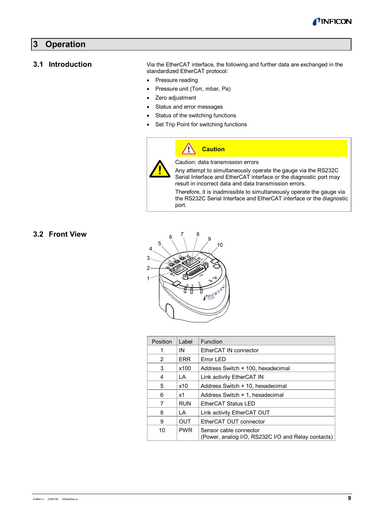

# <span id="page-8-0"></span>**3 Operation**

#### <span id="page-8-1"></span>**3.1 Introduction**

Via the EtherCAT interface, the following and further data are exchanged in the standardized EtherCAT protocol:

- Pressure reading
- Pressure unit (Torr, mbar, Pa)
- Zero adjustment
- Status and error messages

 $\sqrt{1}$ 

- Status of the switching functions
- Set Trip Point for switching functions



Caution: data transmission errors

**Caution**

Any attempt to simultaneously operate the gauge via the RS232C Serial Interface and EtherCAT interface or the diagnostic port may result in incorrect data and data transmission errors.

Therefore, it is inadmissible to simultaneously operate the gauge via the RS232C Serial Interface and EtherCAT interface or the diagnostic port.

## <span id="page-8-2"></span>**3.2 Front View**



| Position | Label      | <b>Function</b>                                                              |
|----------|------------|------------------------------------------------------------------------------|
| 1        | IN         | EtherCAT IN connector                                                        |
| 2        | <b>ERR</b> | Error LED                                                                    |
| 3        | x100       | Address Switch × 100, hexadecimal                                            |
| 4        | LA         | Link activity EtherCAT IN                                                    |
| 5        | x10        | Address Switch × 10, hexadecimal                                             |
| 6        | x1         | Address Switch × 1, hexadecimal                                              |
| 7        | <b>RUN</b> | EtherCAT Status LED                                                          |
| 8        | LA         | Link activity EtherCAT OUT                                                   |
| 9        | <b>OUT</b> | EtherCAT OUT connector                                                       |
| 10       | <b>PWR</b> | Sensor cable connector<br>(Power, analog I/O, RS232C I/O and Relay contacts) |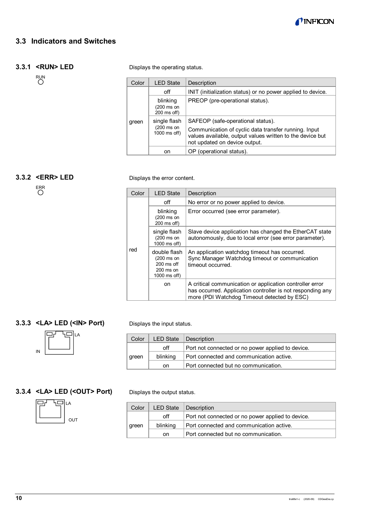

# <span id="page-9-0"></span>**3.3 Indicators and Switches**

#### <span id="page-9-1"></span>**3.3.1 <RUN> LED**

RUN<br>O

Displays the operating status.

| Color | <b>LED State</b>                           | Description                                                                                                                                                                             |
|-------|--------------------------------------------|-----------------------------------------------------------------------------------------------------------------------------------------------------------------------------------------|
|       | off                                        | INIT (initialization status) or no power applied to device.                                                                                                                             |
|       | blinking<br>(200 ms on<br>$200$ ms off)    | PREOP (pre-operational status).                                                                                                                                                         |
| green | single flash<br>(200 ms on<br>1000 ms off) | SAFEOP (safe-operational status).<br>Communication of cyclic data transfer running. Input<br>values available, output values written to the device but<br>not updated on device output. |
|       | on                                         | OP (operational status).                                                                                                                                                                |

# <span id="page-9-2"></span>**3.3.2 <ERR> LED**

ERR

| Displays the error content. |  |  |
|-----------------------------|--|--|
|-----------------------------|--|--|

| Color | <b>LED State</b>                                                                 | Description                                                                                                                                                           |
|-------|----------------------------------------------------------------------------------|-----------------------------------------------------------------------------------------------------------------------------------------------------------------------|
| red   | off                                                                              | No error or no power applied to device.                                                                                                                               |
|       | blinking<br>(200 ms on<br>$200$ ms off)                                          | Error occurred (see error parameter).                                                                                                                                 |
|       | single flash<br>$(200 \text{ ms on})$<br>1000 ms off)                            | Slave device application has changed the EtherCAT state<br>autonomously, due to local error (see error parameter).                                                    |
|       | double flash<br>(200 ms on<br>$200 \text{ ms of}$<br>$200$ ms on<br>1000 ms off) | An application watchdog timeout has occurred.<br>Sync Manager Watchdog timeout or communication<br>timeout occurred.                                                  |
|       | on                                                                               | A critical communication or application controller error<br>has occurred. Application controller is not responding any<br>more (PDI Watchdog Timeout detected by ESC) |

# <span id="page-9-3"></span>**3.3.3 <LA> LED (<IN> Port)**



Displays the input status.

| Color |          | LED State   Description                           |
|-------|----------|---------------------------------------------------|
|       | off      | Port not connected or no power applied to device. |
| green | blinking | Port connected and communication active.          |
|       | on       | Port connected but no communication.              |

# <span id="page-9-4"></span>**3.3.4 <LA> LED (<OUT> Port)**



Displays the output status.

| Color | <b>LED State</b> | Description                                       |
|-------|------------------|---------------------------------------------------|
|       | off              | Port not connected or no power applied to device. |
| green | blinking         | Port connected and communication active.          |
|       | on               | Port connected but no communication.              |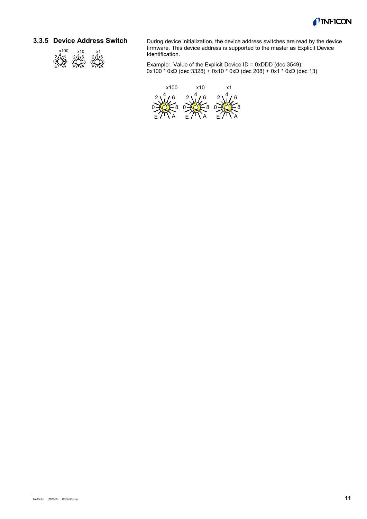

#### <span id="page-10-0"></span>**3.3.5 Device Address Switch**



During device initialization, the device address switches are read by the device firmware. This device address is supported to the master as Explicit Device Identification.

Example: Value of the Explicit Device ID = 0xDDD (dec 3549): 0x100 \* 0xD (dec 3328) + 0x10 \* 0xD (dec 208) + 0x1 \* 0xD (dec 13)

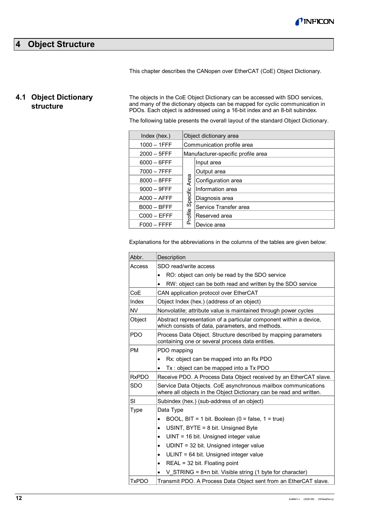

# <span id="page-11-0"></span>**4 Object Structure**

This chapter describes the CANopen over EtherCAT (CoE) Object Dictionary.

# <span id="page-11-1"></span>**4.1 Object Dictionary structure**

The objects in the CoE Object Dictionary can be accessed with SDO services, and many of the dictionary objects can be mapped for cyclic communication in PDOs. Each object is addressed using a 16-bit index and an 8-bit subindex.

The following table presents the overall layout of the standard Object Dictionary.

| Index (hex.)   |          | Object dictionary area             |  |  |  |  |  |
|----------------|----------|------------------------------------|--|--|--|--|--|
| $1000 - 1$ FFF |          | Communication profile area         |  |  |  |  |  |
| $2000 - 5$ FFF |          | Manufacturer-specific profile area |  |  |  |  |  |
| $6000 - 6$ FFF |          | Input area                         |  |  |  |  |  |
| $7000 - 7$ FFF |          | Output area                        |  |  |  |  |  |
| $8000 - 8$ FFF | Area     | Configuration area                 |  |  |  |  |  |
| $9000 - 9$ FFF |          | Information area                   |  |  |  |  |  |
| $A000 - AFFF$  | Specific | Diagnosis area                     |  |  |  |  |  |
| $B000 - BFFF$  |          | Service Transfer area              |  |  |  |  |  |
| $C000 - EFFF$  | Profile  | Reserved area                      |  |  |  |  |  |
| $F000 - FFFF$  |          | Device area                        |  |  |  |  |  |
|                |          |                                    |  |  |  |  |  |

Explanations for the abbreviations in the columns of the tables are given below:

| Abbr.        | Description                                                                                                                          |  |  |  |  |  |  |  |
|--------------|--------------------------------------------------------------------------------------------------------------------------------------|--|--|--|--|--|--|--|
| Access       | SDO read/write access                                                                                                                |  |  |  |  |  |  |  |
|              | RO: object can only be read by the SDO service<br>$\bullet$                                                                          |  |  |  |  |  |  |  |
|              | RW: object can be both read and written by the SDO service                                                                           |  |  |  |  |  |  |  |
| CoF          | CAN application protocol over EtherCAT                                                                                               |  |  |  |  |  |  |  |
| Index        | Object Index (hex.) (address of an object)                                                                                           |  |  |  |  |  |  |  |
| <b>NV</b>    | Nonvolatile; attribute value is maintained through power cycles                                                                      |  |  |  |  |  |  |  |
| Object       | Abstract representation of a particular component within a device,<br>which consists of data, parameters, and methods.               |  |  |  |  |  |  |  |
| <b>PDO</b>   | Process Data Object. Structure described by mapping parameters<br>containing one or several process data entities.                   |  |  |  |  |  |  |  |
| <b>PM</b>    | PDO mapping                                                                                                                          |  |  |  |  |  |  |  |
|              | Rx: object can be mapped into an Rx PDO<br>$\bullet$                                                                                 |  |  |  |  |  |  |  |
|              | Tx : object can be mapped into a Tx PDO                                                                                              |  |  |  |  |  |  |  |
| <b>RxPDO</b> | Receive PDO. A Process Data Object received by an EtherCAT slave.                                                                    |  |  |  |  |  |  |  |
| <b>SDO</b>   | Service Data Objects. CoE asynchronous mailbox communications<br>where all objects in the Object Dictionary can be read and written. |  |  |  |  |  |  |  |
| SI           | Subindex (hex.) (sub-address of an object)                                                                                           |  |  |  |  |  |  |  |
| <b>Type</b>  | Data Type                                                                                                                            |  |  |  |  |  |  |  |
|              | BOOL, BIT = 1 bit. Boolean (0 = false, 1 = true)<br>$\bullet$                                                                        |  |  |  |  |  |  |  |
|              | USINT, BYTE = 8 bit. Unsigned Byte<br>$\bullet$                                                                                      |  |  |  |  |  |  |  |
|              | UINT = 16 bit. Unsigned integer value<br>$\bullet$                                                                                   |  |  |  |  |  |  |  |
|              | $UDINT = 32 bit.$ Unsigned integer value<br>$\bullet$                                                                                |  |  |  |  |  |  |  |
|              | ULINT = 64 bit. Unsigned integer value<br>$\bullet$                                                                                  |  |  |  |  |  |  |  |
|              | $REAL = 32$ bit. Floating point<br>$\bullet$                                                                                         |  |  |  |  |  |  |  |
|              | V STRING = $8 \times n$ bit. Visible string (1 byte for character)                                                                   |  |  |  |  |  |  |  |
| <b>TxPDO</b> | Transmit PDO. A Process Data Object sent from an EtherCAT slave.                                                                     |  |  |  |  |  |  |  |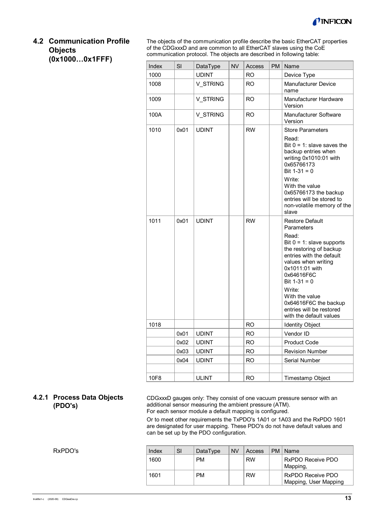

# <span id="page-12-0"></span>**4.2 Communication Profile Objects (0x1000…0x1FFF)**

The objects of the communication profile describe the basic EtherCAT properties of the CDGxxxD and are common to all EtherCAT slaves using the CoE communication protocol. The objects are described in following table:

| Index | SI   | DataType     | <b>NV</b> | Access    | <b>PM</b> | Name                                                                                                                                                                                                                                                                                                                               |
|-------|------|--------------|-----------|-----------|-----------|------------------------------------------------------------------------------------------------------------------------------------------------------------------------------------------------------------------------------------------------------------------------------------------------------------------------------------|
| 1000  |      | <b>UDINT</b> |           | <b>RO</b> |           | Device Type                                                                                                                                                                                                                                                                                                                        |
| 1008  |      | V STRING     |           | <b>RO</b> |           | <b>Manufacturer Device</b><br>name                                                                                                                                                                                                                                                                                                 |
| 1009  |      | V_STRING     |           | <b>RO</b> |           | Manufacturer Hardware<br>Version                                                                                                                                                                                                                                                                                                   |
| 100A  |      | V STRING     |           | <b>RO</b> |           | Manufacturer Software<br>Version                                                                                                                                                                                                                                                                                                   |
| 1010  | 0x01 | <b>UDINT</b> |           | <b>RW</b> |           | <b>Store Parameters</b><br>Read:<br>Bit $0 = 1$ : slave saves the<br>backup entries when<br>writing 0x1010:01 with<br>0x65766173<br>Bit $1-31 = 0$<br>Write:<br>With the value<br>0x65766173 the backup<br>entries will be stored to<br>non-volatile memory of the                                                                 |
| 1011  | 0x01 | <b>UDINT</b> |           | <b>RW</b> |           | slave<br><b>Restore Default</b><br>Parameters<br>Read:<br>Bit $0 = 1$ : slave supports<br>the restoring of backup<br>entries with the default<br>values when writing<br>0x1011:01 with<br>0x64616F6C<br>Bit $1-31 = 0$<br>Write:<br>With the value<br>0x64616F6C the backup<br>entries will be restored<br>with the default values |
| 1018  |      |              |           | <b>RO</b> |           | <b>Identity Object</b>                                                                                                                                                                                                                                                                                                             |
|       | 0x01 | <b>UDINT</b> |           | <b>RO</b> |           | Vendor ID                                                                                                                                                                                                                                                                                                                          |
|       | 0x02 | <b>UDINT</b> |           | <b>RO</b> |           | <b>Product Code</b>                                                                                                                                                                                                                                                                                                                |
|       | 0x03 | <b>UDINT</b> |           | <b>RO</b> |           | <b>Revision Number</b>                                                                                                                                                                                                                                                                                                             |
|       | 0x04 | <b>UDINT</b> |           | <b>RO</b> |           | <b>Serial Number</b>                                                                                                                                                                                                                                                                                                               |
|       |      |              |           |           |           |                                                                                                                                                                                                                                                                                                                                    |
| 10F8  |      | <b>ULINT</b> |           | <b>RO</b> |           | Timestamp Object                                                                                                                                                                                                                                                                                                                   |

### <span id="page-12-1"></span>**4.2.1 Process Data Objects (PDO's)**

CDGxxxD gauges only: They consist of one vacuum pressure sensor with an additional sensor measuring the ambient pressure (ATM). For each sensor module a default mapping is configured.

Or to meet other requirements the TxPDO's 1A01 or 1A03 and the RxPDO 1601 are designated for user mapping. These PDO's do not have default values and can be set up by the PDO configuration.

RxPDO's

| Index | SI | DataType  | <b>NV</b> | Access    | <b>PM</b> | ∣Name                                      |
|-------|----|-----------|-----------|-----------|-----------|--------------------------------------------|
| 1600  |    | <b>PM</b> |           | <b>RW</b> |           | RxPDO Receive PDO<br>Mapping,              |
| 1601  |    | PM        |           | <b>RW</b> |           | RxPDO Receive PDO<br>Mapping, User Mapping |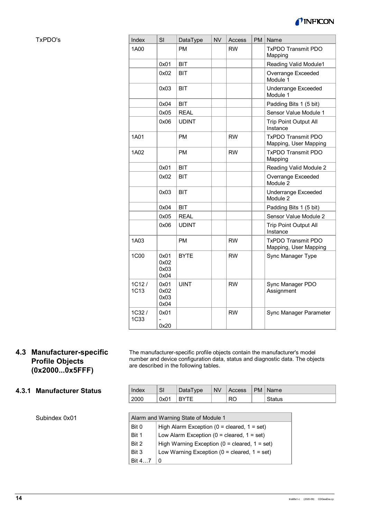

TxPDO's

| Index                   | SI                           | DataType     | <b>NV</b> | Access    | <b>PM</b> | Name                                               |
|-------------------------|------------------------------|--------------|-----------|-----------|-----------|----------------------------------------------------|
| 1A00                    |                              | <b>PM</b>    |           | <b>RW</b> |           | <b>TxPDO Transmit PDO</b><br>Mapping               |
|                         | 0x01                         | BIT          |           |           |           | Reading Valid Module1                              |
|                         | 0x02                         | BIT          |           |           |           | Overrange Exceeded<br>Module 1                     |
|                         | 0x03                         | BIT          |           |           |           | <b>Underrange Exceeded</b><br>Module 1             |
|                         | 0x04                         | <b>BIT</b>   |           |           |           | Padding Bits 1 (5 bit)                             |
|                         | 0x05                         | <b>REAL</b>  |           |           |           | Sensor Value Module 1                              |
|                         | 0x06                         | <b>UDINT</b> |           |           |           | <b>Trip Point Output All</b><br>Instance           |
| 1A01                    |                              | <b>PM</b>    |           | <b>RW</b> |           | <b>TxPDO Transmit PDO</b><br>Mapping, User Mapping |
| 1A02                    |                              | <b>PM</b>    |           | <b>RW</b> |           | <b>TxPDO Transmit PDO</b><br>Mapping               |
|                         | 0x01                         | <b>BIT</b>   |           |           |           | Reading Valid Module 2                             |
|                         | 0x02                         | BIT          |           |           |           | Overrange Exceeded<br>Module 2                     |
|                         | 0x03                         | BIT          |           |           |           | <b>Underrange Exceeded</b><br>Module 2             |
|                         | 0x04                         | <b>BIT</b>   |           |           |           | Padding Bits 1 (5 bit)                             |
|                         | 0x05                         | <b>REAL</b>  |           |           |           | Sensor Value Module 2                              |
|                         | 0x06                         | <b>UDINT</b> |           |           |           | <b>Trip Point Output All</b><br>Instance           |
| 1A03                    |                              | <b>PM</b>    |           | <b>RW</b> |           | <b>TxPDO Transmit PDO</b><br>Mapping, User Mapping |
| 1C00                    | 0x01<br>0x02<br>0x03<br>0x04 | <b>BYTE</b>  |           | <b>RW</b> |           | Sync Manager Type                                  |
| 1C12/<br>1C13           | 0x01<br>0x02<br>0x03<br>0x04 | <b>UINT</b>  |           | <b>RW</b> |           | Sync Manager PDO<br>Assignment                     |
| $1C32$ /<br><b>1C33</b> | 0x01<br>0x20                 |              |           | <b>RW</b> |           | Sync Manager Parameter                             |

# <span id="page-13-0"></span>**4.3 Manufacturer-specific Profile Objects (0x2000...0x5FFF)**

# The manufacturer-specific profile objects contain the manufacturer's model number and device configuration data, status and diagnostic data. The objects are described in the following tables.

# <span id="page-13-1"></span>**4.3.1 Manufacturer Status**

| Index | SI   | DataType    | <b>NV</b> | Access | $ PM $ Name |
|-------|------|-------------|-----------|--------|-------------|
| 2000  | 0x01 | <b>BYTE</b> |           | RO     | Status      |

Subindex 0x01

| Alarm and Warning State of Module 1 |                                                    |  |  |  |
|-------------------------------------|----------------------------------------------------|--|--|--|
| Bit 0                               | High Alarm Exception ( $0 =$ cleared, $1 =$ set)   |  |  |  |
| Bit 1                               | Low Alarm Exception ( $0 =$ cleared, $1 =$ set)    |  |  |  |
| Bit 2                               | High Warning Exception ( $0 =$ cleared, $1 =$ set) |  |  |  |
| Bit 3                               | Low Warning Exception ( $0 =$ cleared, $1 =$ set)  |  |  |  |
| Bit 47                              | 0                                                  |  |  |  |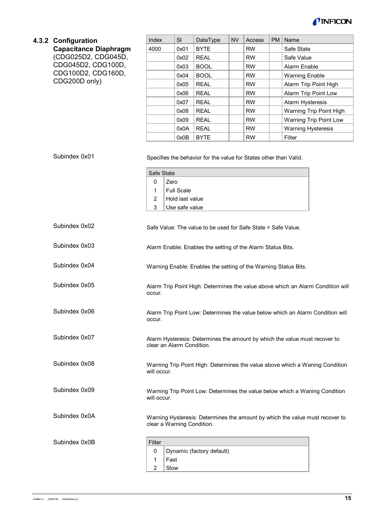

<span id="page-14-0"></span>

| 4.3.2 Configuration          | Index                                                         | SI                                                     | DataType                                                          | <b>NV</b> | Access    | <b>PM</b> | Name                                                                            |
|------------------------------|---------------------------------------------------------------|--------------------------------------------------------|-------------------------------------------------------------------|-----------|-----------|-----------|---------------------------------------------------------------------------------|
| <b>Capacitance Diaphragm</b> | 4000                                                          | 0x01                                                   | <b>BYTE</b>                                                       |           | <b>RW</b> |           | Safe State                                                                      |
| (CDG025D2, CDG045D,          |                                                               | 0x02                                                   | <b>REAL</b>                                                       |           | <b>RW</b> |           | Safe Value                                                                      |
| CDG045D2, CDG100D,           |                                                               | 0x03                                                   | <b>BOOL</b>                                                       |           | <b>RW</b> |           | Alarm Enable                                                                    |
| CDG100D2, CDG160D,           |                                                               | 0x04                                                   | <b>BOOL</b>                                                       |           | <b>RW</b> |           | <b>Warning Enable</b>                                                           |
| CDG200D only)                |                                                               | 0x05                                                   | <b>REAL</b>                                                       |           | <b>RW</b> |           | Alarm Trip Point High                                                           |
|                              |                                                               | 0x06                                                   | <b>REAL</b>                                                       |           | <b>RW</b> |           | Alarm Trip Point Low                                                            |
|                              |                                                               | 0x07                                                   | <b>REAL</b>                                                       |           | <b>RW</b> |           | Alarm Hysteresis                                                                |
|                              |                                                               | 0x08                                                   | <b>REAL</b>                                                       |           | <b>RW</b> |           | Warning Trip Point High                                                         |
|                              |                                                               | 0x09                                                   | <b>REAL</b>                                                       |           | <b>RW</b> |           | <b>Warning Trip Point Low</b>                                                   |
|                              |                                                               | 0x0A                                                   | <b>REAL</b>                                                       |           | <b>RW</b> |           | <b>Warning Hysteresis</b>                                                       |
|                              |                                                               | 0x0B                                                   | <b>BYTE</b>                                                       |           | <b>RW</b> |           | Filter                                                                          |
| Subindex 0x01                | Safe State<br>$\mathbf 0$<br>Zero<br>1<br>$\overline{c}$<br>3 | <b>Full Scale</b><br>Hold last value<br>Use safe value | Specifies the behavior for the value for States other than Valid. |           |           |           |                                                                                 |
| Subindex 0x02                |                                                               |                                                        | Safe Value: The value to be used for Safe State = Safe Value.     |           |           |           |                                                                                 |
| Subindex 0x03                |                                                               |                                                        | Alarm Enable: Enables the setting of the Alarm Status Bits.       |           |           |           |                                                                                 |
| Subindex 0x04                |                                                               |                                                        | Warning Enable: Enables the setting of the Warning Status Bits.   |           |           |           |                                                                                 |
| Subindex 0x05                | occur.                                                        |                                                        |                                                                   |           |           |           | Alarm Trip Point High: Determines the value above which an Alarm Condition will |
| Subindex 0x06                | occur.                                                        |                                                        |                                                                   |           |           |           | Alarm Trip Point Low: Determines the value below which an Alarm Condition will  |
| Subindex 0x07                | clear an Alarm Condition.                                     |                                                        |                                                                   |           |           |           | Alarm Hysteresis: Determines the amount by which the value must recover to      |
| Subindex 0x08                | will occur.                                                   |                                                        |                                                                   |           |           |           | Warning Trip Point High: Determines the value above which a Waning Condition    |
| Subindex 0x09                | will occur.                                                   |                                                        |                                                                   |           |           |           | Warning Trip Point Low: Determines the value below which a Waning Condition     |
| Subindex 0x0A                | clear a Warning Condition.                                    |                                                        |                                                                   |           |           |           | Warning Hysteresis: Determines the amount by which the value must recover to    |
| Subindex 0x0B                | Filter<br>0                                                   |                                                        | Dynamic (factory default)                                         |           |           |           |                                                                                 |

1 2 Fast Slow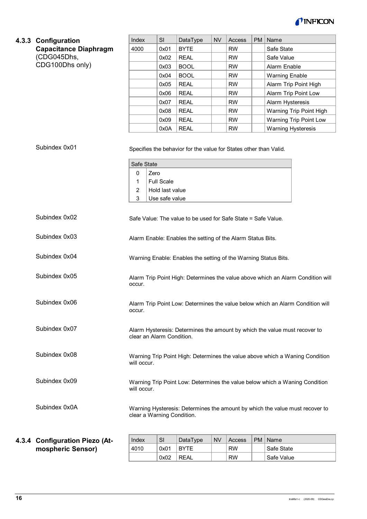

<span id="page-15-0"></span>

|       | 4.3.3 Configuration             | Index                                                                                                      | SI                                                     | DataType                                                          | <b>NV</b> | Access    | PM        | Name                                                                            |
|-------|---------------------------------|------------------------------------------------------------------------------------------------------------|--------------------------------------------------------|-------------------------------------------------------------------|-----------|-----------|-----------|---------------------------------------------------------------------------------|
|       | <b>Capacitance Diaphragm</b>    | 4000                                                                                                       | 0x01                                                   | <b>BYTE</b>                                                       |           | <b>RW</b> |           | Safe State                                                                      |
|       | (CDG045Dhs,                     |                                                                                                            | 0x02                                                   | <b>REAL</b>                                                       |           | <b>RW</b> |           | Safe Value                                                                      |
|       | CDG100Dhs only)                 |                                                                                                            | 0x03                                                   | <b>BOOL</b>                                                       |           | <b>RW</b> |           | Alarm Enable                                                                    |
|       |                                 |                                                                                                            | 0x04                                                   | <b>BOOL</b>                                                       |           | <b>RW</b> |           | <b>Warning Enable</b>                                                           |
|       |                                 |                                                                                                            | 0x05                                                   | <b>REAL</b>                                                       |           | <b>RW</b> |           | Alarm Trip Point High                                                           |
|       |                                 |                                                                                                            | 0x06                                                   | <b>REAL</b>                                                       |           | <b>RW</b> |           | Alarm Trip Point Low                                                            |
|       |                                 |                                                                                                            | 0x07                                                   | <b>REAL</b>                                                       |           | <b>RW</b> |           | Alarm Hysteresis                                                                |
|       |                                 |                                                                                                            | 0x08                                                   | <b>REAL</b>                                                       |           | <b>RW</b> |           | Warning Trip Point High                                                         |
|       |                                 |                                                                                                            | 0x09                                                   | <b>REAL</b>                                                       |           | <b>RW</b> |           | Warning Trip Point Low                                                          |
|       |                                 |                                                                                                            | 0x0A                                                   | <b>REAL</b>                                                       |           | <b>RW</b> |           | <b>Warning Hysteresis</b>                                                       |
|       | Subindex 0x01                   | Safe State<br>0<br>Zero<br>1<br>2<br>3                                                                     | <b>Full Scale</b><br>Hold last value<br>Use safe value | Specifies the behavior for the value for States other than Valid. |           |           |           |                                                                                 |
|       | Subindex 0x02                   |                                                                                                            |                                                        | Safe Value: The value to be used for Safe State = Safe Value.     |           |           |           |                                                                                 |
|       | Subindex 0x03                   | Alarm Enable: Enables the setting of the Alarm Status Bits.                                                |                                                        |                                                                   |           |           |           |                                                                                 |
|       | Subindex 0x04                   | Warning Enable: Enables the setting of the Warning Status Bits.                                            |                                                        |                                                                   |           |           |           |                                                                                 |
|       | Subindex 0x05                   | occur.                                                                                                     |                                                        |                                                                   |           |           |           | Alarm Trip Point High: Determines the value above which an Alarm Condition will |
|       | Subindex 0x06                   | occur.                                                                                                     |                                                        |                                                                   |           |           |           | Alarm Trip Point Low: Determines the value below which an Alarm Condition will  |
|       | Subindex 0x07                   | clear an Alarm Condition.                                                                                  |                                                        |                                                                   |           |           |           | Alarm Hysteresis: Determines the amount by which the value must recover to      |
|       | Subindex 0x08                   | will occur.                                                                                                |                                                        |                                                                   |           |           |           | Warning Trip Point High: Determines the value above which a Waning Condition    |
|       | Subindex 0x09                   | Warning Trip Point Low: Determines the value below which a Waning Condition<br>will occur.                 |                                                        |                                                                   |           |           |           |                                                                                 |
|       | Subindex 0x0A                   | Warning Hysteresis: Determines the amount by which the value must recover to<br>clear a Warning Condition. |                                                        |                                                                   |           |           |           |                                                                                 |
|       |                                 |                                                                                                            |                                                        |                                                                   |           |           |           |                                                                                 |
| 4.3.4 | <b>Configuration Piezo (At-</b> | Index                                                                                                      | SI                                                     | DataType                                                          | <b>NV</b> | Access    | <b>PM</b> | Name                                                                            |
|       | mospheric Sensor)               | 4010                                                                                                       | 0x01                                                   | <b>BYTE</b>                                                       |           | <b>RW</b> |           | Safe State                                                                      |

<span id="page-15-1"></span>0x02 REAL RW Safe Value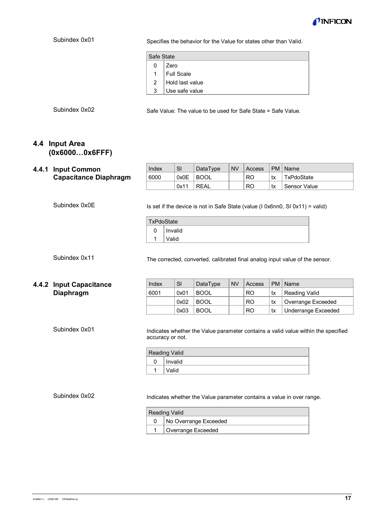

Specifies the behavior for the Value for states other than Valid.

| Safe State     |                       |
|----------------|-----------------------|
| $\overline{0}$ | Zero                  |
|                | 1 $ $ Full Scale      |
|                | 2 $ $ Hold last value |
| 3 <sup>1</sup> | Use safe value        |

Subindex 0x02

Safe Value: The value to be used for Safe State = Safe Value.

Index SI DataType NV Access PM Name 6000 0x0E BOOL | RO tx TxPdoState

#### <span id="page-16-0"></span>**4.4 Input Area (0x6000…0x6FFF)**

#### <span id="page-16-1"></span>**4.4.1 Input Common Capacitance Diaphragm**

Subindex 0x0E

Is set if the device is not in Safe State (value (I 0x6nn0, SI 0x11) = valid)

The corrected, converted, calibrated final analog input value of the sensor.

 $0x11$  REAL  $\vert$  RO  $\vert$  tx Sensor Value

| <b>TxPdoState</b> |         |  |  |  |  |
|-------------------|---------|--|--|--|--|
|                   | Invalid |  |  |  |  |
|                   | Valid   |  |  |  |  |

Subindex 0x11

#### <span id="page-16-2"></span>**4.4.2 Input Capacitance Diaphragm**

| Index | SI   | DataType    | <b>NV</b> | Access         |    | PM   Name                  |
|-------|------|-------------|-----------|----------------|----|----------------------------|
| 6001  | 0x01 | <b>BOOL</b> |           | <b>RO</b>      | tx | <b>Reading Valid</b>       |
|       | 0x02 | BOOL        |           | <b>RO</b>      | tx | Overrange Exceeded         |
|       | 0x03 | <b>BOOL</b> |           | R <sub>O</sub> | tx | <b>Underrange Exceeded</b> |

Subindex 0x01

Indicates whether the Value parameter contains a valid value within the specified accuracy or not.

| <b>Reading Valid</b> |
|----------------------|
| Invalid              |
| √alid                |

Subindex 0x02

Indicates whether the Value parameter contains a value in over range.

| <b>Reading Valid</b> |                       |  |  |  |  |
|----------------------|-----------------------|--|--|--|--|
|                      | No Overrange Exceeded |  |  |  |  |
|                      | Overrange Exceeded    |  |  |  |  |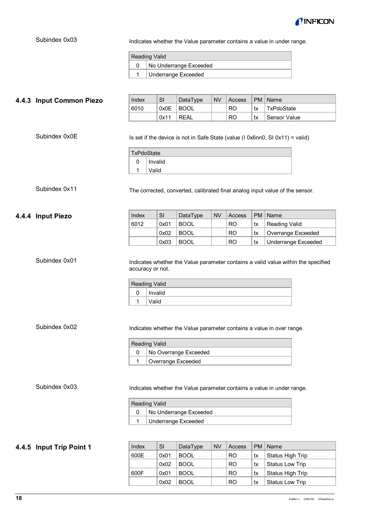

Indicates whether the Value parameter contains a value in under range.

| Reading Valid |                        |  |  |  |  |
|---------------|------------------------|--|--|--|--|
|               | No Underrange Exceeded |  |  |  |  |
|               | Underrange Exceeded    |  |  |  |  |

<span id="page-17-1"></span><span id="page-17-0"></span>

| 4.4.3 Input Common Piezo                            | Index                                                       | SI      | DataType                   | <b>NV</b> | Access    | <b>PM</b> | Name                                                                                                                                                       |
|-----------------------------------------------------|-------------------------------------------------------------|---------|----------------------------|-----------|-----------|-----------|------------------------------------------------------------------------------------------------------------------------------------------------------------|
|                                                     | 6010                                                        | 0x0E    | <b>BOOL</b>                |           | <b>RO</b> | tx        | TxPdoState                                                                                                                                                 |
|                                                     |                                                             | 0x11    | <b>REAL</b>                |           | <b>RO</b> | tx        | Sensor Value                                                                                                                                               |
| Subindex 0x0E                                       | <b>TxPdoState</b><br>$\mathbf 0$                            | Invalid |                            |           |           |           | Is set if the device is not in Safe State (value (I 0x6nn0, SI 0x11) = valid)                                                                              |
|                                                     | Valid<br>1                                                  |         |                            |           |           |           |                                                                                                                                                            |
| Subindex 0x11                                       |                                                             |         |                            |           |           |           | The corrected, converted, calibrated final analog input value of the sensor.                                                                               |
| 4.4.4 Input Piezo                                   | Index                                                       | SI      | DataType                   | <b>NV</b> | Access    | <b>PM</b> | Name                                                                                                                                                       |
|                                                     | 6012                                                        | 0x01    | <b>BOOL</b>                |           | <b>RO</b> | tx        | <b>Reading Valid</b>                                                                                                                                       |
|                                                     |                                                             | 0x02    | <b>BOOL</b>                |           | <b>RO</b> | tx        | Overrange Exceeded                                                                                                                                         |
|                                                     |                                                             | 0x03    | <b>BOOL</b>                |           | <b>RO</b> | tx        | <b>Underrange Exceeded</b>                                                                                                                                 |
| Subindex 0x01<br>Subindex 0x02                      | accuracy or not.<br><b>Reading Valid</b><br>0<br>Valid<br>1 | Invalid |                            |           |           |           | Indicates whether the Value parameter contains a valid value within the specified<br>Indicates whether the Value parameter contains a value in over range. |
|                                                     | <b>Reading Valid</b>                                        |         |                            |           |           |           |                                                                                                                                                            |
|                                                     | 0                                                           |         | No Overrange Exceeded      |           |           |           |                                                                                                                                                            |
| $\mathbf{1}$<br>Overrange Exceeded<br>Subindex 0x03 |                                                             |         |                            |           |           |           |                                                                                                                                                            |
|                                                     |                                                             |         |                            |           |           |           | Indicates whether the Value parameter contains a value in under range.                                                                                     |
|                                                     | <b>Reading Valid</b>                                        |         |                            |           |           |           |                                                                                                                                                            |
|                                                     | 0                                                           |         | No Underrange Exceeded     |           |           |           |                                                                                                                                                            |
|                                                     | $\mathbf{1}$                                                |         | <b>Underrange Exceeded</b> |           |           |           |                                                                                                                                                            |
| 4.4.5 Input Trip Point 1                            | Index                                                       | SI      | DataType                   | <b>NV</b> | Access    | <b>PM</b> | Name                                                                                                                                                       |
|                                                     | 600E                                                        | 0x01    | <b>BOOL</b>                |           | <b>RO</b> | tx        | Status High Trip                                                                                                                                           |
|                                                     |                                                             | 0x02    | <b>BOOL</b>                |           | <b>RO</b> | tx        | <b>Status Low Trip</b>                                                                                                                                     |
|                                                     | 600F                                                        | 0x01    | <b>BOOL</b>                |           | <b>RO</b> | tx        | Status High Trip                                                                                                                                           |

<span id="page-17-2"></span> $0x02$  BOOL  $\vert$  RO  $\vert$  tx Status Low Trip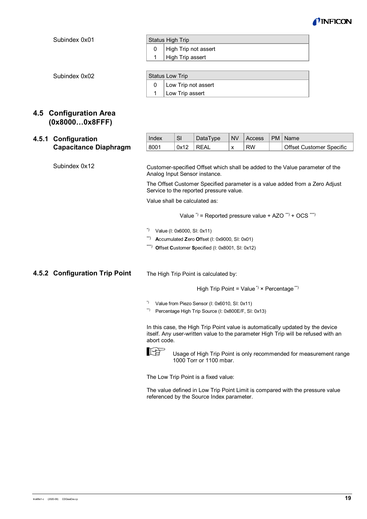

| Status High Trip |                      |  |  |  |  |
|------------------|----------------------|--|--|--|--|
|                  | High Trip not assert |  |  |  |  |
|                  | High Trip assert     |  |  |  |  |

Subindex 0x02

| <b>Status Low Trip</b> |                     |  |  |  |  |
|------------------------|---------------------|--|--|--|--|
|                        | Low Trip not assert |  |  |  |  |
|                        | Low Trip assert     |  |  |  |  |

# <span id="page-18-0"></span>**4.5 Configuration Area (0x8000…0x8FFF)**

# <span id="page-18-1"></span>**4.5.1 Configuration Capacitance Diaphragm**

 $Index$  SI DataType NV Access  $PM$  Name 8001 | 0x12 | REAL | x | RW | | | Offset Customer Specific

Subindex 0x12

Customer-specified Offset which shall be added to the Value parameter of the Analog Input Sensor instance.

The Offset Customer Specified parameter is a value added from a Zero Adjust Service to the reported pressure value.

Value shall be calculated as:

Value  $\hat{y}$  = Reported pressure value + AZO \*\*) + OCS \*\*\*)

- \*) Value (I: 0x6000, SI: 0x11)
- \*\*) **A**ccumulated **Z**ero **O**ffset (I: 0x9000, SI: 0x01)
- \*\*\*) **O**ffset **C**ustomer **S**pecified (I: 0x8001, SI: 0x12)

# <span id="page-18-2"></span>**4.5.2 Configuration Trip Point**

The High Trip Point is calculated by:

High Trip Point = Value<sup>\*</sup>  $\times$  Percentage<sup>\*\*</sup>

\*) Value from Piezo Sensor (I: 0x6010, SI: 0x11)

\*\*) Percentage High Trip Source (I: 0x800E/F, SI: 0x13)

In this case, the High Trip Point value is automatically updated by the device itself. Any user-written value to the parameter High Trip will be refused with an abort code.



Usage of High Trip Point is only recommended for measurement range 1000 Torr or 1100 mbar.

The Low Trip Point is a fixed value:

The value defined in Low Trip Point Limit is compared with the pressure value referenced by the Source Index parameter.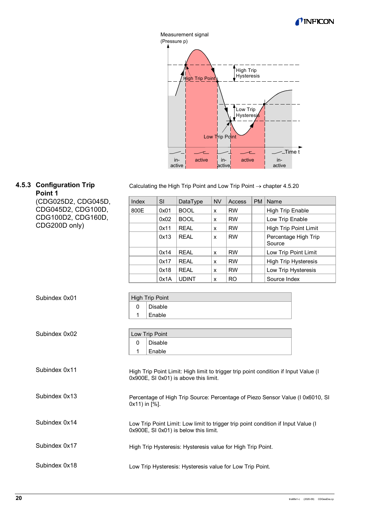



#### <span id="page-19-0"></span>**4.5.3 Configuration Trip Point 1**

(CDG025D2, CDG045D, CDG045D2, CDG100D, CDG100D2, CDG160D, CDG200D only)

|  |  | Calculating the High Trip Point and Low Trip Point $\rightarrow$ chapter 4.5.20 |  |
|--|--|---------------------------------------------------------------------------------|--|
|  |  |                                                                                 |  |

| Index | <b>SI</b> | DataType     | <b>NV</b> | Access         | <b>PM</b> | Name                           |
|-------|-----------|--------------|-----------|----------------|-----------|--------------------------------|
| 800E  | 0x01      | <b>BOOL</b>  | X         | <b>RW</b>      |           | <b>High Trip Enable</b>        |
|       | 0x02      | <b>BOOL</b>  | X         | <b>RW</b>      |           | Low Trip Enable                |
|       | 0x11      | RFAI         | X         | <b>RW</b>      |           | High Trip Point Limit          |
|       | 0x13      | <b>RFAI</b>  | x         | <b>RW</b>      |           | Percentage High Trip<br>Source |
|       | 0x14      | RFAI         | X         | <b>RW</b>      |           | Low Trip Point Limit           |
|       | 0x17      | <b>REAL</b>  | X         | <b>RW</b>      |           | <b>High Trip Hysteresis</b>    |
|       | 0x18      | RFAI         | X         | <b>RW</b>      |           | Low Trip Hysteresis            |
|       | 0x1A      | <b>UDINT</b> | X         | R <sub>O</sub> |           | Source Index                   |

| Subindex 0x01 | <b>High Trip Point</b> |
|---------------|------------------------|
|               | Disable                |
|               | Enable                 |
|               |                        |

| Subindex 0x02 | Low Trip Point |         |  |  |
|---------------|----------------|---------|--|--|
|               |                | Disable |  |  |
|               |                | Enable  |  |  |
|               |                |         |  |  |

High Trip Point Limit: High limit to trigger trip point condition if Input Value (I 0x900E, SI 0x01) is above this limit. Percentage of High Trip Source: Percentage of Piezo Sensor Value (I 0x6010, SI 0x11) in [%]. Subindex 0x11 Subindex 0x13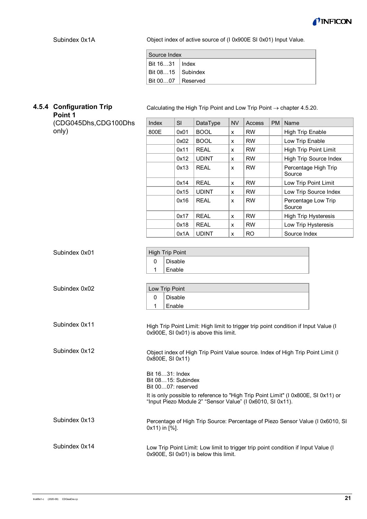

Object index of active source of (I 0x900E SI 0x01) Input Value.

| Source Index              |  |
|---------------------------|--|
| Bit 1631   Index          |  |
| $ $ Bit 0815 $ $ Subindex |  |
| $ $ Bit 0007 $ $ Reserved |  |

# <span id="page-20-0"></span>**4.5.4 Configuration Trip**

**Point 1** (CDG045Dhs,CDG100Dhs only)

| Calculating the High Trip Point and Low Trip Point $\rightarrow$ chapter 4.5.20. |  |  |  |
|----------------------------------------------------------------------------------|--|--|--|
|----------------------------------------------------------------------------------|--|--|--|

| Index | <b>SI</b> | DataType     | <b>NV</b>    | <b>Access</b> | <b>PM</b> | Name                           |
|-------|-----------|--------------|--------------|---------------|-----------|--------------------------------|
| 800E  | 0x01      | <b>BOOL</b>  | x            | <b>RW</b>     |           | <b>High Trip Enable</b>        |
|       | 0x02      | <b>BOOL</b>  | x            | <b>RW</b>     |           | Low Trip Enable                |
|       | 0x11      | REAL         | x            | <b>RW</b>     |           | High Trip Point Limit          |
|       | 0x12      | <b>UDINT</b> | x            | <b>RW</b>     |           | High Trip Source Index         |
|       | 0x13      | RFAI         | $\mathbf{x}$ | <b>RW</b>     |           | Percentage High Trip<br>Source |
|       | 0x14      | <b>REAL</b>  | x            | <b>RW</b>     |           | Low Trip Point Limit           |
|       | 0x15      | <b>UDINT</b> | X            | <b>RW</b>     |           | Low Trip Source Index          |
|       | 0x16      | RFAI         | x            | <b>RW</b>     |           | Percentage Low Trip<br>Source  |
|       | 0x17      | RFAI         | x            | <b>RW</b>     |           | <b>High Trip Hysteresis</b>    |
|       | 0x18      | REAL         | $\mathsf{x}$ | <b>RW</b>     |           | Low Trip Hysteresis            |
|       | 0x1A      | <b>UDINT</b> | x            | RO            |           | Source Index                   |

| Subindex 0x01 | <b>High Trip Point</b>                                                                                                                           |
|---------------|--------------------------------------------------------------------------------------------------------------------------------------------------|
|               | <b>Disable</b><br>$\mathbf{0}$                                                                                                                   |
|               | Enable<br>1                                                                                                                                      |
|               |                                                                                                                                                  |
| Subindex 0x02 | Low Trip Point                                                                                                                                   |
|               | <b>Disable</b><br>$\mathbf{0}$                                                                                                                   |
|               | Enable<br>1                                                                                                                                      |
|               |                                                                                                                                                  |
| Subindex 0x11 | High Trip Point Limit: High limit to trigger trip point condition if Input Value (I<br>0x900E, SI 0x01) is above this limit.                     |
| Subindex 0x12 | Object index of High Trip Point Value source. Index of High Trip Point Limit (I<br>0x800E, SI 0x11)                                              |
|               | Bit 1631: Index                                                                                                                                  |
|               | Bit 0815: Subindex                                                                                                                               |
|               | Bit 0007: reserved                                                                                                                               |
|               | It is only possible to reference to "High Trip Point Limit" (I 0x800E, SI 0x11) or<br>"Input Piezo Module 2" "Sensor Value" (I 0x6010, SI 0x11). |
| Subindex 0x13 | Percentage of High Trip Source: Percentage of Piezo Sensor Value (I 0x6010, SI                                                                   |
|               | 0x11) in [%].                                                                                                                                    |
| Subindex 0x14 | Low Trip Point Limit: Low limit to trigger trip point condition if Input Value (I                                                                |
|               | 0x900E, SI 0x01) is below this limit.                                                                                                            |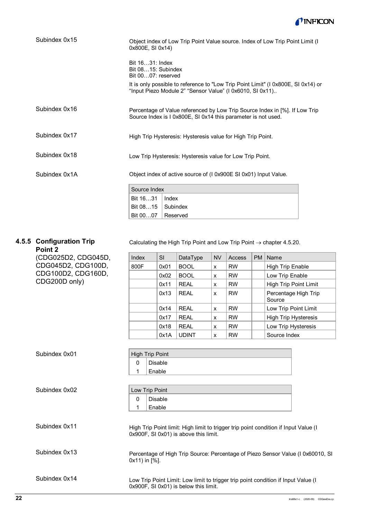

| Subindex 0x15 | Object index of Low Trip Point Value source. Index of Low Trip Point Limit (I<br>0x800E, SI 0x14)                                                                                                             |  |  |  |  |  |  |
|---------------|---------------------------------------------------------------------------------------------------------------------------------------------------------------------------------------------------------------|--|--|--|--|--|--|
|               | Bit 1631: Index<br>Bit 0815: Subindex<br>Bit 0007: reserved<br>It is only possible to reference to "Low Trip Point Limit" (I 0x800E, SI 0x14) or<br>"Input Piezo Module 2" "Sensor Value" (I 0x6010, SI 0x11) |  |  |  |  |  |  |
| Subindex 0x16 | Percentage of Value referenced by Low Trip Source Index in [%]. If Low Trip<br>Source Index is I 0x800E, SI 0x14 this parameter is not used.                                                                  |  |  |  |  |  |  |
| Subindex 0x17 | High Trip Hysteresis: Hysteresis value for High Trip Point.                                                                                                                                                   |  |  |  |  |  |  |
| Subindex 0x18 | Low Trip Hysteresis: Hysteresis value for Low Trip Point.                                                                                                                                                     |  |  |  |  |  |  |
| Subindex 0x1A | Object index of active source of (I 0x900E SI 0x01) Input Value.                                                                                                                                              |  |  |  |  |  |  |
|               | Source Index                                                                                                                                                                                                  |  |  |  |  |  |  |
|               | Bit 1631<br>Index                                                                                                                                                                                             |  |  |  |  |  |  |
|               | Bit 0815<br>Subindex                                                                                                                                                                                          |  |  |  |  |  |  |
|               | Bit 0007<br>Reserved                                                                                                                                                                                          |  |  |  |  |  |  |

# <span id="page-21-0"></span>**4.5.5 Configuration Trip**

Calculating the High Trip Point and Low Trip Point  $\rightarrow$  chapter [4.5.20.](#page-18-2)

| Point 2                        |                                                        |                                                                                |                                       |           |               |           |                                                                                     |
|--------------------------------|--------------------------------------------------------|--------------------------------------------------------------------------------|---------------------------------------|-----------|---------------|-----------|-------------------------------------------------------------------------------------|
| (CDG025D2, CDG045D,            | Index                                                  | SI                                                                             | DataType                              | <b>NV</b> | <b>Access</b> | <b>PM</b> | Name                                                                                |
| CDG045D2, CDG100D,             | 800F                                                   | 0x01                                                                           | <b>BOOL</b>                           | X         | <b>RW</b>     |           | <b>High Trip Enable</b>                                                             |
| CDG100D2, CDG160D,             |                                                        | 0x02                                                                           | <b>BOOL</b>                           | X         | <b>RW</b>     |           | Low Trip Enable                                                                     |
| CDG200D only)                  |                                                        | 0x11                                                                           | <b>REAL</b>                           | X         | <b>RW</b>     |           | High Trip Point Limit                                                               |
|                                |                                                        | 0x13                                                                           | <b>REAL</b>                           | X         | <b>RW</b>     |           | Percentage High Trip<br>Source                                                      |
|                                |                                                        | 0x14                                                                           | <b>REAL</b>                           | X         | <b>RW</b>     |           | Low Trip Point Limit                                                                |
|                                |                                                        | 0x17                                                                           | <b>REAL</b>                           | х         | <b>RW</b>     |           | <b>High Trip Hysteresis</b>                                                         |
|                                |                                                        | 0x18                                                                           | <b>REAL</b>                           | X         | <b>RW</b>     |           | Low Trip Hysteresis                                                                 |
|                                |                                                        | 0x1A                                                                           | <b>UDINT</b>                          | X         | <b>RW</b>     |           | Source Index                                                                        |
| Subindex 0x01<br>Subindex 0x02 | $\mathbf 0$<br>1<br>Low Trip Point<br>$\mathbf 0$<br>1 | <b>High Trip Point</b><br><b>Disable</b><br>Enable<br><b>Disable</b><br>Enable |                                       |           |               |           |                                                                                     |
| Subindex 0x11                  |                                                        |                                                                                | 0x900F, SI 0x01) is above this limit. |           |               |           | High Trip Point limit: High limit to trigger trip point condition if Input Value (I |
| Subindex 0x13                  | 0x11) in [%].                                          |                                                                                |                                       |           |               |           | Percentage of High Trip Source: Percentage of Piezo Sensor Value (I 0x60010, SI     |
| Subindex 0x14                  |                                                        |                                                                                | 0x900F, SI 0x01) is below this limit. |           |               |           | Low Trip Point Limit: Low limit to trigger trip point condition if Input Value (I   |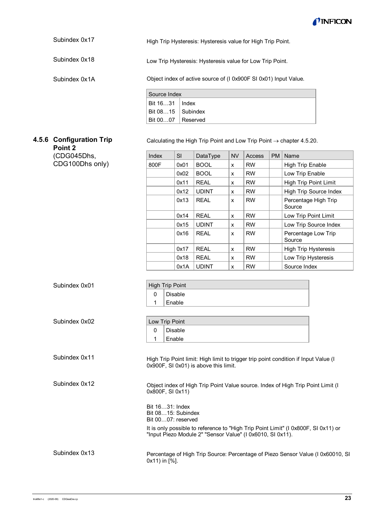

High Trip Hysteresis: Hysteresis value for High Trip Point. Subindex 0x17

Low Trip Hysteresis: Hysteresis value for Low Trip Point. Subindex 0x18

Subindex 0x1A

Object index of active source of (I 0x900F SI 0x01) Input Value.

| Source Index              |  |
|---------------------------|--|
| Bit 1631   Index          |  |
| $ $ Bit 0815 $ $ Subindex |  |
| $ $ Bit 0007 $ $ Reserved |  |

# <span id="page-22-0"></span>**4.5.6 Configuration Trip**

(CDG045Dhs, CDG100Dhs only)

**Point 2**

Calculating the High Trip Point and Low Trip Point  $\rightarrow$  chapter [4.5.20.](#page-18-2)

| Index | <b>SI</b> | DataType     | <b>NV</b> | Access    | <b>PM</b> | Name                           |
|-------|-----------|--------------|-----------|-----------|-----------|--------------------------------|
| 800F  | 0x01      | <b>BOOL</b>  | X         | <b>RW</b> |           | <b>High Trip Enable</b>        |
|       | 0x02      | <b>BOOL</b>  | X         | <b>RW</b> |           | Low Trip Enable                |
|       | 0x11      | REAL         | X         | <b>RW</b> |           | High Trip Point Limit          |
|       | 0x12      | <b>UDINT</b> | X         | <b>RW</b> |           | <b>High Trip Source Index</b>  |
|       | 0x13      | <b>REAL</b>  | X         | <b>RW</b> |           | Percentage High Trip<br>Source |
|       | 0x14      | <b>REAL</b>  | X         | <b>RW</b> |           | Low Trip Point Limit           |
|       | 0x15      | <b>UDINT</b> | X         | <b>RW</b> |           | Low Trip Source Index          |
|       | 0x16      | <b>REAL</b>  | X         | <b>RW</b> |           | Percentage Low Trip<br>Source  |
|       | 0x17      | <b>REAL</b>  | X         | <b>RW</b> |           | <b>High Trip Hysteresis</b>    |
|       | 0x18      | <b>REAL</b>  | X         | <b>RW</b> |           | Low Trip Hysteresis            |
|       | 0x1A      | <b>UDINT</b> | X         | <b>RW</b> |           | Source Index                   |

| Subindex 0x01 | <b>High Trip Point</b>                                                                                                                           |
|---------------|--------------------------------------------------------------------------------------------------------------------------------------------------|
|               | <b>Disable</b><br>0                                                                                                                              |
|               | Enable<br>1                                                                                                                                      |
|               |                                                                                                                                                  |
| Subindex 0x02 | Low Trip Point                                                                                                                                   |
|               | <b>Disable</b><br>0                                                                                                                              |
|               | Enable<br>1                                                                                                                                      |
|               |                                                                                                                                                  |
| Subindex 0x11 | High Trip Point limit: High limit to trigger trip point condition if Input Value (I<br>0x900F, SI 0x01) is above this limit.                     |
| Subindex 0x12 | Object index of High Trip Point Value source. Index of High Trip Point Limit (I<br>0x800F, SI 0x11)                                              |
|               | Bit 1631: Index                                                                                                                                  |
|               | Bit 0815: Subindex                                                                                                                               |
|               | Bit 0007: reserved                                                                                                                               |
|               | It is only possible to reference to "High Trip Point Limit" (I 0x800F, SI 0x11) or<br>"Input Piezo Module 2" "Sensor Value" (I 0x6010, SI 0x11). |
| Subindex 0x13 | Percentage of High Trip Source: Percentage of Piezo Sensor Value (I 0x60010, SI<br>0x11) in [%].                                                 |
|               |                                                                                                                                                  |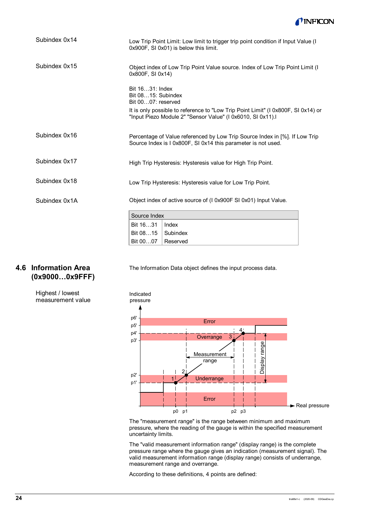

| Subindex 0x14 |                                                             | Low Trip Point Limit: Low limit to trigger trip point condition if Input Value (I<br>0x900F, SI 0x01) is below this limit.                       |
|---------------|-------------------------------------------------------------|--------------------------------------------------------------------------------------------------------------------------------------------------|
| Subindex 0x15 | 0x800F, SI 0x14)                                            | Object index of Low Trip Point Value source. Index of Low Trip Point Limit (I)                                                                   |
|               | Bit 1631: Index<br>Bit 0815: Subindex<br>Bit 0007: reserved |                                                                                                                                                  |
|               |                                                             | It is only possible to reference to "Low Trip Point Limit" (I 0x800F, SI 0x14) or<br>"Input Piezo Module 2" "Sensor Value" (I 0x6010, SI 0x11).I |
| Subindex 0x16 |                                                             | Percentage of Value referenced by Low Trip Source Index in [%]. If Low Trip<br>Source Index is I 0x800F, SI 0x14 this parameter is not used.     |
| Subindex 0x17 |                                                             | High Trip Hysteresis: Hysteresis value for High Trip Point.                                                                                      |
| Subindex 0x18 |                                                             | Low Trip Hysteresis: Hysteresis value for Low Trip Point.                                                                                        |
| Subindex 0x1A |                                                             | Object index of active source of (I 0x900F SI 0x01) Input Value.                                                                                 |
|               | Source Index                                                |                                                                                                                                                  |
|               | Bit 1631                                                    | Index                                                                                                                                            |
|               | Bit 0815                                                    | Subindex                                                                                                                                         |

Reserved

Bit 00…07

# <span id="page-23-0"></span>**4.6 Information Area (0x9000…0x9FFF)**

The Information Data object defines the input process data.

#### Highest / lowest measurement value



The "measurement range" is the range between minimum and maximum pressure, where the reading of the gauge is within the specified measurement uncertainty limits.

The "valid measurement information range" (display range) is the complete pressure range where the gauge gives an indication (measurement signal). The valid measurement information range (display range) consists of underrange, measurement range and overrange.

According to these definitions, 4 points are defined: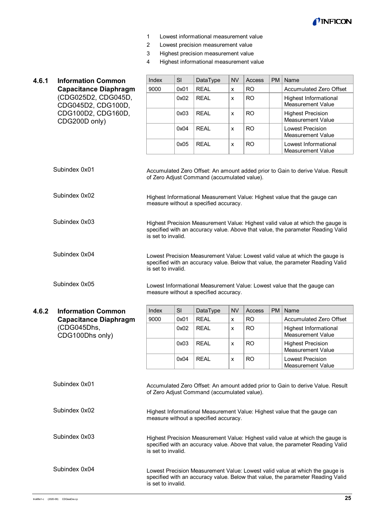

- 1 Lowest informational measurement value
- 2 Lowest precision measurement value
- 3 Highest precision measurement value
- 4 Highest informational measurement value

<span id="page-24-1"></span><span id="page-24-0"></span>

| 4.6.1 | <b>Information Common</b>                                                 | Index                                                                                                                                                                                   | SI   | DataType                                    | <b>NV</b>          | Access        | <b>PM</b> | Name                                                                                                                                                              |  |  |
|-------|---------------------------------------------------------------------------|-----------------------------------------------------------------------------------------------------------------------------------------------------------------------------------------|------|---------------------------------------------|--------------------|---------------|-----------|-------------------------------------------------------------------------------------------------------------------------------------------------------------------|--|--|
|       | <b>Capacitance Diaphragm</b><br>(CDG025D2, CDG045D,<br>CDG045D2, CDG100D, | 9000                                                                                                                                                                                    | 0x01 | <b>REAL</b>                                 | X                  | <b>RO</b>     |           | Accumulated Zero Offset                                                                                                                                           |  |  |
|       |                                                                           |                                                                                                                                                                                         | 0x02 | <b>REAL</b>                                 | $\pmb{\mathsf{X}}$ | <b>RO</b>     |           | <b>Highest Informational</b><br><b>Measurement Value</b>                                                                                                          |  |  |
|       | CDG100D2, CDG160D,<br>CDG200D only)                                       |                                                                                                                                                                                         | 0x03 | <b>REAL</b>                                 | x                  | <b>RO</b>     |           | <b>Highest Precision</b><br>Measurement Value                                                                                                                     |  |  |
|       |                                                                           |                                                                                                                                                                                         | 0x04 | <b>REAL</b>                                 | $\pmb{\mathsf{x}}$ | <b>RO</b>     |           | <b>Lowest Precision</b><br><b>Measurement Value</b>                                                                                                               |  |  |
|       |                                                                           |                                                                                                                                                                                         | 0x05 | <b>REAL</b>                                 | $\pmb{\mathsf{X}}$ | <b>RO</b>     |           | Lowest Informational<br><b>Measurement Value</b>                                                                                                                  |  |  |
|       | Subindex 0x01                                                             |                                                                                                                                                                                         |      | of Zero Adjust Command (accumulated value). |                    |               |           | Accumulated Zero Offset: An amount added prior to Gain to derive Value. Result                                                                                    |  |  |
|       | Subindex 0x02                                                             |                                                                                                                                                                                         |      | measure without a specified accuracy.       |                    |               |           | Highest Informational Measurement Value: Highest value that the gauge can                                                                                         |  |  |
|       | Subindex 0x03                                                             | Highest Precision Measurement Value: Highest valid value at which the gauge is<br>specified with an accuracy value. Above that value, the parameter Reading Valid<br>is set to invalid. |      |                                             |                    |               |           |                                                                                                                                                                   |  |  |
|       | Subindex 0x04                                                             | Lowest Precision Measurement Value: Lowest valid value at which the gauge is<br>specified with an accuracy value. Below that value, the parameter Reading Valid<br>is set to invalid.   |      |                                             |                    |               |           |                                                                                                                                                                   |  |  |
|       | Subindex 0x05                                                             |                                                                                                                                                                                         |      | measure without a specified accuracy.       |                    |               |           | Lowest Informational Measurement Value: Lowest value that the gauge can                                                                                           |  |  |
| 4.6.2 | <b>Information Common</b>                                                 | Index                                                                                                                                                                                   | SI   | DataType                                    | <b>NV</b>          | <b>Access</b> | <b>PM</b> | Name                                                                                                                                                              |  |  |
|       | <b>Capacitance Diaphragm</b>                                              | 9000                                                                                                                                                                                    | 0x01 | <b>REAL</b>                                 | $\pmb{\mathsf{x}}$ | <b>RO</b>     |           | Accumulated Zero Offset                                                                                                                                           |  |  |
|       | (CDG045Dhs,                                                               |                                                                                                                                                                                         | 0x02 | <b>REAL</b>                                 | X                  | <b>RO</b>     |           | <b>Highest Informational</b>                                                                                                                                      |  |  |
|       |                                                                           |                                                                                                                                                                                         |      |                                             |                    |               |           | <b>Measurement Value</b>                                                                                                                                          |  |  |
|       | CDG100Dhs only)                                                           |                                                                                                                                                                                         | 0x03 | <b>REAL</b>                                 | X                  | <b>RO</b>     |           | <b>Highest Precision</b><br>Measurement Value                                                                                                                     |  |  |
|       |                                                                           |                                                                                                                                                                                         | 0x04 | <b>REAL</b>                                 | x                  | <b>RO</b>     |           | <b>Lowest Precision</b><br><b>Measurement Value</b>                                                                                                               |  |  |
|       | Subindex 0x01                                                             |                                                                                                                                                                                         |      | of Zero Adjust Command (accumulated value). |                    |               |           | Accumulated Zero Offset: An amount added prior to Gain to derive Value. Result                                                                                    |  |  |
|       | Subindex 0x02                                                             |                                                                                                                                                                                         |      | measure without a specified accuracy.       |                    |               |           | Highest Informational Measurement Value: Highest value that the gauge can                                                                                         |  |  |
|       | Subindex 0x03                                                             | is set to invalid.                                                                                                                                                                      |      |                                             |                    |               |           | Highest Precision Measurement Value: Highest valid value at which the gauge is<br>specified with an accuracy value. Above that value, the parameter Reading Valid |  |  |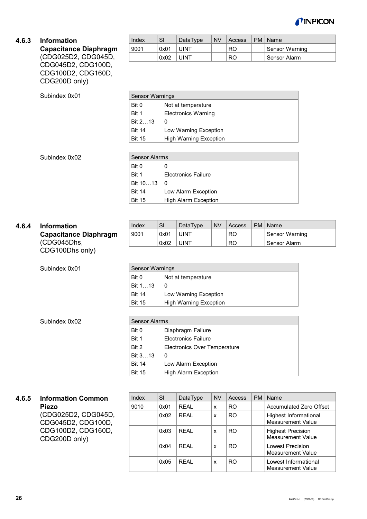

#### <span id="page-25-0"></span>**4.6.3 Information**

#### **Capacitance Diaphragm** (CDG025D2, CDG045D, CDG045D2, CDG100D, CDG100D2, CDG160D, CDG200D only)

| Index | SI   | DataType | <b>NV</b> | Access | PM   Name      |
|-------|------|----------|-----------|--------|----------------|
| 9001  | 0x01 | UINT     |           | RO     | Sensor Warning |
|       | 0x02 | UINT     |           | R0     | Sensor Alarm   |

| <b>Sensor Warnings</b> |                               |  |  |  |  |  |
|------------------------|-------------------------------|--|--|--|--|--|
| Bit 0                  | Not at temperature            |  |  |  |  |  |
| Bit 1                  | <b>Electronics Warning</b>    |  |  |  |  |  |
| Bit 213                | 0                             |  |  |  |  |  |
| <b>Bit 14</b>          | Low Warning Exception         |  |  |  |  |  |
| <b>Bit 15</b>          | <b>High Warning Exception</b> |  |  |  |  |  |

Subindex 0x02

| <b>Sensor Alarms</b> |                             |  |  |  |  |  |
|----------------------|-----------------------------|--|--|--|--|--|
| Bit 0                |                             |  |  |  |  |  |
| Bit 1                | <b>Electronics Failure</b>  |  |  |  |  |  |
| Bit 1013             |                             |  |  |  |  |  |
| <b>Bit 14</b>        | Low Alarm Exception         |  |  |  |  |  |
| <b>Bit 15</b>        | <b>High Alarm Exception</b> |  |  |  |  |  |

#### <span id="page-25-1"></span>**4.6.4 Information Capacitance Diaphragm** (CDG045Dhs,

CDG100Dhs only)

Subindex 0x01

| Index | <b>SI</b> | DataType | <b>NV</b> | Access | PM   Name      |
|-------|-----------|----------|-----------|--------|----------------|
| 9001  | 0x01      | JINT     |           | RO     | Sensor Warning |
|       | 0x02      | JINT     |           | RO     | Sensor Alarm   |

| <b>Sensor Warnings</b> |                               |  |  |  |  |  |
|------------------------|-------------------------------|--|--|--|--|--|
| Bit 0                  | Not at temperature            |  |  |  |  |  |
| Bit 113                | 0                             |  |  |  |  |  |
| <b>Bit 14</b>          | Low Warning Exception         |  |  |  |  |  |
| <b>Bit 15</b>          | <b>High Warning Exception</b> |  |  |  |  |  |

Subindex 0x02

| <b>Sensor Alarms</b> |                                     |  |  |  |  |  |
|----------------------|-------------------------------------|--|--|--|--|--|
| Bit 0                | Diaphragm Failure                   |  |  |  |  |  |
| Bit 1                | <b>Flectronics Failure</b>          |  |  |  |  |  |
| Bit 2                | <b>Electronics Over Temperature</b> |  |  |  |  |  |
| Bit 313              | 0                                   |  |  |  |  |  |
| <b>Bit 14</b>        | Low Alarm Exception                 |  |  |  |  |  |
| <b>Bit 15</b>        | <b>High Alarm Exception</b>         |  |  |  |  |  |

#### <span id="page-25-2"></span>**4.6.5 Information Common Piezo** (CDG025D2, CDG045D, CDG045D2, CDG100D,

CDG100D2, CDG160D, CDG200D only)

| Index | SI   | DataType    | <b>NV</b> | Access | PM | Name                                          |
|-------|------|-------------|-----------|--------|----|-----------------------------------------------|
| 9010  | 0x01 | <b>REAL</b> | X         | RO.    |    | Accumulated Zero Offset                       |
|       | 0x02 | RFAI        | X         | RO.    |    | Highest Informational<br>Measurement Value    |
|       | 0x03 | RFAI        | X         | RO.    |    | <b>Highest Precision</b><br>Measurement Value |
|       | 0x04 | RFAI        | X         | RO.    |    | Lowest Precision<br>Measurement Value         |
|       | 0x05 | RFAI        | X         | RO.    |    | Lowest Informational<br>Measurement Value     |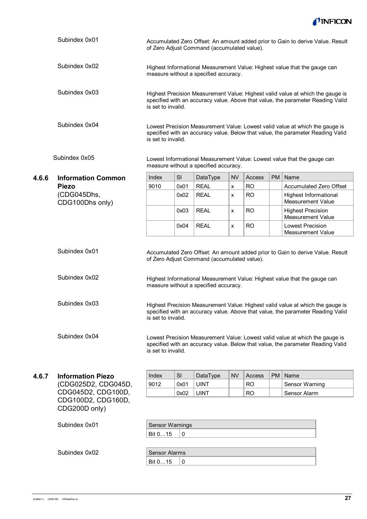

<span id="page-26-0"></span>

|       | Subindex 0x01                                             | Accumulated Zero Offset: An amount added prior to Gain to derive Value. Result<br>of Zero Adjust Command (accumulated value).                                                           |                        |                                                                                      |           |           |           |                                                                                                                                                                 |  |  |  |  |  |
|-------|-----------------------------------------------------------|-----------------------------------------------------------------------------------------------------------------------------------------------------------------------------------------|------------------------|--------------------------------------------------------------------------------------|-----------|-----------|-----------|-----------------------------------------------------------------------------------------------------------------------------------------------------------------|--|--|--|--|--|
|       | Subindex 0x02                                             |                                                                                                                                                                                         |                        | measure without a specified accuracy.                                                |           |           |           | Highest Informational Measurement Value: Highest value that the gauge can                                                                                       |  |  |  |  |  |
|       | Subindex 0x03                                             | Highest Precision Measurement Value: Highest valid value at which the gauge is<br>specified with an accuracy value. Above that value, the parameter Reading Valid<br>is set to invalid. |                        |                                                                                      |           |           |           |                                                                                                                                                                 |  |  |  |  |  |
|       | Subindex 0x04                                             | Lowest Precision Measurement Value: Lowest valid value at which the gauge is<br>specified with an accuracy value. Below that value, the parameter Reading Valid<br>is set to invalid.   |                        |                                                                                      |           |           |           |                                                                                                                                                                 |  |  |  |  |  |
|       | Subindex 0x05                                             |                                                                                                                                                                                         |                        | measure without a specified accuracy.                                                |           |           |           | Lowest Informational Measurement Value: Lowest value that the gauge can                                                                                         |  |  |  |  |  |
| 4.6.6 | <b>Information Common</b>                                 | Index                                                                                                                                                                                   | SI                     | DataType                                                                             | NV        | Access    | <b>PM</b> | Name                                                                                                                                                            |  |  |  |  |  |
|       | <b>Piezo</b>                                              | 9010                                                                                                                                                                                    | 0x01                   | <b>REAL</b>                                                                          | X         | <b>RO</b> |           | Accumulated Zero Offset                                                                                                                                         |  |  |  |  |  |
|       | (CDG045Dhs,<br>CDG100Dhs only)                            |                                                                                                                                                                                         | 0x02                   | <b>REAL</b>                                                                          | X         | <b>RO</b> |           | Highest Informational<br><b>Measurement Value</b>                                                                                                               |  |  |  |  |  |
|       |                                                           |                                                                                                                                                                                         | 0x03                   | <b>REAL</b>                                                                          | x         | <b>RO</b> |           | <b>Highest Precision</b><br><b>Measurement Value</b>                                                                                                            |  |  |  |  |  |
|       |                                                           |                                                                                                                                                                                         | 0x04                   | <b>REAL</b>                                                                          | x         | <b>RO</b> |           | <b>Lowest Precision</b><br><b>Measurement Value</b>                                                                                                             |  |  |  |  |  |
|       | Subindex 0x01<br>Subindex 0x02                            |                                                                                                                                                                                         |                        | of Zero Adjust Command (accumulated value).<br>measure without a specified accuracy. |           |           |           | Accumulated Zero Offset: An amount added prior to Gain to derive Value. Result<br>Highest Informational Measurement Value: Highest value that the gauge can     |  |  |  |  |  |
|       | Subindex 0x03                                             | Highest Precision Measurement Value: Highest valid value at which the gauge is<br>specified with an accuracy value. Above that value, the parameter Reading Valid<br>is set to invalid. |                        |                                                                                      |           |           |           |                                                                                                                                                                 |  |  |  |  |  |
|       | Subindex 0x04                                             | is set to invalid.                                                                                                                                                                      |                        |                                                                                      |           |           |           | Lowest Precision Measurement Value: Lowest valid value at which the gauge is<br>specified with an accuracy value. Below that value, the parameter Reading Valid |  |  |  |  |  |
| 4.6.7 | <b>Information Piezo</b>                                  | Index                                                                                                                                                                                   | <b>SI</b>              | DataType                                                                             | <b>NV</b> | Access    | <b>PM</b> | Name                                                                                                                                                            |  |  |  |  |  |
|       | (CDG025D2, CDG045D,                                       | 9012                                                                                                                                                                                    | 0x01                   | <b>UINT</b>                                                                          |           | <b>RO</b> |           | Sensor Warning                                                                                                                                                  |  |  |  |  |  |
|       | CDG045D2, CDG100D,<br>CDG100D2, CDG160D,<br>CDG200D only) |                                                                                                                                                                                         | 0x02                   | <b>UINT</b>                                                                          |           | <b>RO</b> |           | Sensor Alarm                                                                                                                                                    |  |  |  |  |  |
|       |                                                           |                                                                                                                                                                                         |                        |                                                                                      |           |           |           |                                                                                                                                                                 |  |  |  |  |  |
|       | Subindex 0x01                                             |                                                                                                                                                                                         | <b>Sensor Warnings</b> |                                                                                      |           |           |           |                                                                                                                                                                 |  |  |  |  |  |
|       |                                                           | Bit 015                                                                                                                                                                                 | $\pmb{0}$              |                                                                                      |           |           |           |                                                                                                                                                                 |  |  |  |  |  |
|       | Subindex 0x02                                             | <b>Sensor Alarms</b>                                                                                                                                                                    |                        |                                                                                      |           |           |           |                                                                                                                                                                 |  |  |  |  |  |
|       |                                                           |                                                                                                                                                                                         |                        |                                                                                      |           |           |           |                                                                                                                                                                 |  |  |  |  |  |

<span id="page-26-1"></span>Bit  $0...15$  0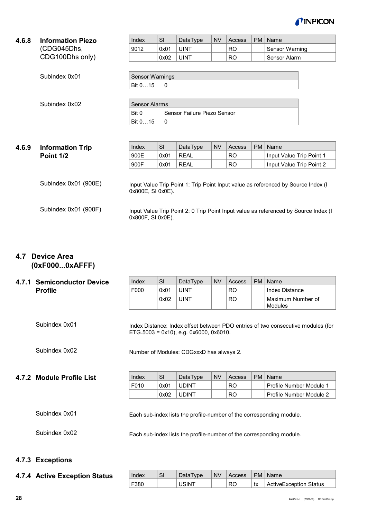

<span id="page-27-0"></span>

| 4.6.8                                 | <b>Information Piezo</b> | Index                                                                             | <b>SI</b> | DataType    | <b>NV</b> | <b>Access</b> | PM | Name                     |  |  |
|---------------------------------------|--------------------------|-----------------------------------------------------------------------------------|-----------|-------------|-----------|---------------|----|--------------------------|--|--|
|                                       | (CDG045Dhs,              | 9012                                                                              | 0x01      | <b>UINT</b> |           | <b>RO</b>     |    | Sensor Warning           |  |  |
|                                       | CDG100Dhs only)          |                                                                                   | 0x02      | <b>UINT</b> |           | <b>RO</b>     |    | Sensor Alarm             |  |  |
|                                       |                          |                                                                                   |           |             |           |               |    |                          |  |  |
|                                       | Subindex 0x01            | Sensor Warnings                                                                   |           |             |           |               |    |                          |  |  |
|                                       |                          | Bit 015                                                                           | 0         |             |           |               |    |                          |  |  |
|                                       |                          |                                                                                   |           |             |           |               |    |                          |  |  |
| Subindex 0x02<br><b>Sensor Alarms</b> |                          |                                                                                   |           |             |           |               |    |                          |  |  |
|                                       |                          | Bit 0<br>Sensor Failure Piezo Sensor                                              |           |             |           |               |    |                          |  |  |
|                                       |                          | Bit 015                                                                           | $\Omega$  |             |           |               |    |                          |  |  |
|                                       |                          |                                                                                   |           |             |           |               |    |                          |  |  |
|                                       |                          |                                                                                   |           |             |           |               |    |                          |  |  |
| 4.6.9                                 | <b>Information Trip</b>  | Index                                                                             | SI        | DataType    | <b>NV</b> | Access        | PM | Name                     |  |  |
|                                       | Point 1/2                | 900E                                                                              | 0x01      | <b>REAL</b> |           | <b>RO</b>     |    | Input Value Trip Point 1 |  |  |
|                                       |                          | 900F                                                                              | 0x01      | <b>REAL</b> |           | <b>RO</b>     |    | Input Value Trip Point 2 |  |  |
|                                       |                          |                                                                                   |           |             |           |               |    |                          |  |  |
|                                       | Subindex 0x01 (900E)     | Input Value Trip Point 1: Trip Point Input value as referenced by Source Index (I |           |             |           |               |    |                          |  |  |
|                                       |                          | 0x800E, SI 0x0E).                                                                 |           |             |           |               |    |                          |  |  |
|                                       |                          |                                                                                   |           |             |           |               |    |                          |  |  |

0x800F, SI 0x0E).

# <span id="page-27-2"></span>**4.7 Device Area (0xF000...0xAFFF)**

#### <span id="page-27-3"></span>**4.7.1 Semiconductor Dev Profile**

<span id="page-27-1"></span>Subindex 0x01 (900F)

| vice | Index | <b>SI</b> | DataType    | <b>NV</b> | Access    | PM   Name                    |
|------|-------|-----------|-------------|-----------|-----------|------------------------------|
|      | F000  | 0x01      | <b>UINT</b> |           | <b>RO</b> | Index Distance               |
|      |       | 0x02      | <b>UINT</b> |           | <b>RO</b> | Maximum Number of<br>Modules |

Index Distance: Index offset between PDO entries of two consecutive modules (for ETG.5003 = 0x10), e.g. 0x6000, 0x6010.

Input Value Trip Point 2: 0 Trip Point Input value as referenced by Source Index (I

Subindex 0x02

Subindex 0x01

<span id="page-27-4"></span>**4.7.2 Module Profile List**

| Index | SI   | DataType     | <b>NV</b> | Access         | PM   Name               |
|-------|------|--------------|-----------|----------------|-------------------------|
| F010  | 0x01 | <b>UDINT</b> |           | R <sub>O</sub> | Profile Number Module 1 |
|       | 0x02 | ' UDINT      |           | R <sub>O</sub> | Profile Number Module 2 |

Subindex 0x01

Each sub-index lists the profile-number of the corresponding module.

Number of Modules: CDGxxxD has always 2.

Subindex 0x02

Each sub-index lists the profile-number of the corresponding module.

### <span id="page-27-5"></span>**4.7.3 Exceptions**

<span id="page-27-6"></span>

|  |  | 4.7.4 Active Exception Status |  |
|--|--|-------------------------------|--|
|--|--|-------------------------------|--|

| Index | SI | DataType    | <b>NV</b> | Access | PM | Name                   |
|-------|----|-------------|-----------|--------|----|------------------------|
| -380  |    | <b>SINT</b> |           | RC     | tx | ActiveException Status |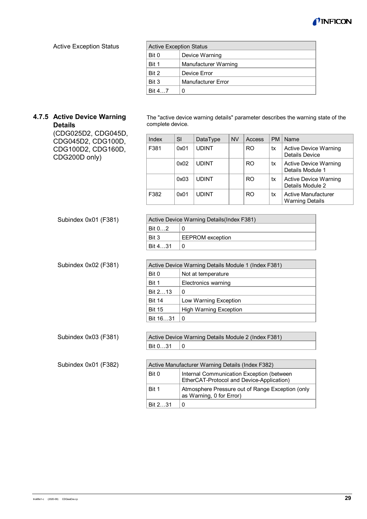

#### Active Exception Status

| <b>Active Exception Status</b> |                      |  |  |  |
|--------------------------------|----------------------|--|--|--|
| Bit 0                          | Device Warning       |  |  |  |
| Bit 1                          | Manufacturer Warning |  |  |  |
| Bit 2                          | Device Error         |  |  |  |
| Bit 3                          | Manufacturer Error   |  |  |  |
| <b>Bit 4.7</b>                 | 0                    |  |  |  |

#### <span id="page-28-0"></span>**4.7.5 Active Device Warning Details**

(CDG025D2, CDG045D, CDG045D2, CDG100D, CDG100D2, CDG160D, CDG200D only)

Subindex 0x01 (F381)

Subindex 0x02 (F381)

The "active device warning details" parameter describes the warning state of the complete device.

| Index | SI   | DataType     | <b>NV</b> | Access         | <b>PM</b> | Name                                             |
|-------|------|--------------|-----------|----------------|-----------|--------------------------------------------------|
| F381  | 0x01 | <b>UDINT</b> |           | R <sub>O</sub> | tx        | <b>Active Device Warning</b><br>Details Device   |
|       | 0x02 | <b>UDINT</b> |           | R <sub>O</sub> | tx        | <b>Active Device Warning</b><br>Details Module 1 |
|       | 0x03 | <b>UDINT</b> |           | R <sub>O</sub> | tx        | <b>Active Device Warning</b><br>Details Module 2 |
| F382  | 0x01 | <b>UDINT</b> |           | R <sub>O</sub> | tx        | Active Manufacturer<br><b>Warning Details</b>    |

| Active Device Warning Details (Index F381) |                         |  |  |  |  |  |
|--------------------------------------------|-------------------------|--|--|--|--|--|
| Bit 0.2                                    |                         |  |  |  |  |  |
| Bit 3                                      | <b>EEPROM</b> exception |  |  |  |  |  |
| Bit 4 31                                   |                         |  |  |  |  |  |

|               | Active Device Warning Details Module 1 (Index F381) |  |  |  |  |  |  |
|---------------|-----------------------------------------------------|--|--|--|--|--|--|
| Bit 0         | Not at temperature                                  |  |  |  |  |  |  |
| Bit 1         | <b>Electronics warning</b>                          |  |  |  |  |  |  |
| Bit 213       | O                                                   |  |  |  |  |  |  |
| <b>Bit 14</b> | Low Warning Exception                               |  |  |  |  |  |  |
| <b>Bit 15</b> | <b>High Warning Exception</b>                       |  |  |  |  |  |  |
| Bit 1631      | O                                                   |  |  |  |  |  |  |

Active Device Warning Details Module 2 (Index F381)

Bit  $0...31$  0

Subindex 0x03 (F381)

Subindex 0x01 (F382)

| Active Manufacturer Warning Details (Index F382) |                                                                                        |  |  |  |  |
|--------------------------------------------------|----------------------------------------------------------------------------------------|--|--|--|--|
| Bit 0                                            | Internal Communication Exception (between<br>EtherCAT-Protocol and Device-Application) |  |  |  |  |
| Bit 1                                            | Atmosphere Pressure out of Range Exception (only<br>as Warning, 0 for Error)           |  |  |  |  |
| Bit 231                                          |                                                                                        |  |  |  |  |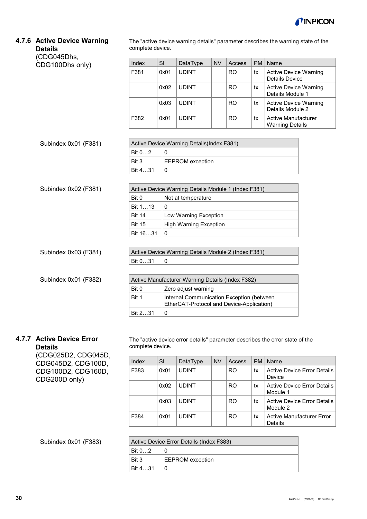

# <span id="page-29-0"></span>**4.7.6 Active Device Warning Details**

The "active device warning details" parameter describes the warning state of the complete device.

| (CDG045Dhs,          |                             |                     |                                                                                        |           |               |           |                                                       |  |  |
|----------------------|-----------------------------|---------------------|----------------------------------------------------------------------------------------|-----------|---------------|-----------|-------------------------------------------------------|--|--|
| CDG100Dhs only)      | Index                       | <b>SI</b>           | DataType                                                                               | <b>NV</b> | <b>Access</b> | <b>PM</b> | Name                                                  |  |  |
|                      | F381                        | 0x01                | <b>UDINT</b>                                                                           |           | <b>RO</b>     | tx        | <b>Active Device Warning</b><br><b>Details Device</b> |  |  |
|                      |                             | 0x02                | <b>UDINT</b>                                                                           |           | <b>RO</b>     | tx        | <b>Active Device Warning</b><br>Details Module 1      |  |  |
|                      |                             | 0x03                | <b>UDINT</b>                                                                           |           | <b>RO</b>     | tx        | <b>Active Device Warning</b><br>Details Module 2      |  |  |
|                      | F382                        | 0x01                | <b>UDINT</b>                                                                           |           | <b>RO</b>     | tx        | <b>Active Manufacturer</b><br><b>Warning Details</b>  |  |  |
| Subindex 0x01 (F381) |                             |                     | Active Device Warning Details (Index F381)                                             |           |               |           |                                                       |  |  |
|                      | Bit 02                      | 0                   |                                                                                        |           |               |           |                                                       |  |  |
|                      | Bit 3                       |                     | <b>EEPROM</b> exception                                                                |           |               |           |                                                       |  |  |
|                      | Bit 431                     | $\mathbf 0$         |                                                                                        |           |               |           |                                                       |  |  |
|                      |                             |                     |                                                                                        |           |               |           |                                                       |  |  |
| Subindex 0x02 (F381) |                             |                     | Active Device Warning Details Module 1 (Index F381)                                    |           |               |           |                                                       |  |  |
|                      | Bit 0<br>Not at temperature |                     |                                                                                        |           |               |           |                                                       |  |  |
|                      | Bit 113                     | $\Omega$            |                                                                                        |           |               |           |                                                       |  |  |
|                      | <b>Bit 14</b>               |                     | Low Warning Exception                                                                  |           |               |           |                                                       |  |  |
|                      | <b>Bit 15</b>               |                     | <b>High Warning Exception</b>                                                          |           |               |           |                                                       |  |  |
|                      | Bit 1631                    | $\mathbf 0$         |                                                                                        |           |               |           |                                                       |  |  |
|                      |                             |                     |                                                                                        |           |               |           |                                                       |  |  |
| Subindex 0x03 (F381) |                             |                     | Active Device Warning Details Module 2 (Index F381)                                    |           |               |           |                                                       |  |  |
|                      | Bit 031                     | $\mathbf 0$         |                                                                                        |           |               |           |                                                       |  |  |
|                      |                             |                     |                                                                                        |           |               |           |                                                       |  |  |
| Subindex 0x01 (F382) |                             |                     | Active Manufacturer Warning Details (Index F382)                                       |           |               |           |                                                       |  |  |
|                      | Bit 0                       | Zero adjust warning |                                                                                        |           |               |           |                                                       |  |  |
|                      | Bit 1                       |                     | Internal Communication Exception (between<br>EtherCAT-Protocol and Device-Application) |           |               |           |                                                       |  |  |
|                      | Bit 231                     | $\mathbf 0$         |                                                                                        |           |               |           |                                                       |  |  |
|                      |                             |                     |                                                                                        |           |               |           |                                                       |  |  |

# <span id="page-29-1"></span>**4.7.7 Active Device Error**

**Details** (CDG025D2, CDG045D, CDG045D2, CDG100D, CDG100D2, CDG160D, CDG200D only)

The "active device error details" parameter describes the error state of the complete device.

| Index | SI   | DataType     | <b>NV</b> | Access | <b>PM</b> | Name                                    |
|-------|------|--------------|-----------|--------|-----------|-----------------------------------------|
| F383  | 0x01 | <b>UDINT</b> |           | RO     | tx        | Active Device Error Details<br>Device   |
|       | 0x02 | <b>UDINT</b> |           | RO.    | tx        | Active Device Error Details<br>Module 1 |
|       | 0x03 | <b>UDINT</b> |           | RO.    | tx        | Active Device Error Details<br>Module 2 |
| F384  | 0x01 | <b>UDINT</b> |           | RO     | tx        | Active Manufacturer Error<br>Details    |

# Subindex 0x01 (F383)

| Active Device Error Details (Index F383) |                         |  |  |  |
|------------------------------------------|-------------------------|--|--|--|
| $^{\circ}$ Bit 02                        |                         |  |  |  |
| Bit 3                                    | <b>EEPROM</b> exception |  |  |  |
| Bit 431                                  |                         |  |  |  |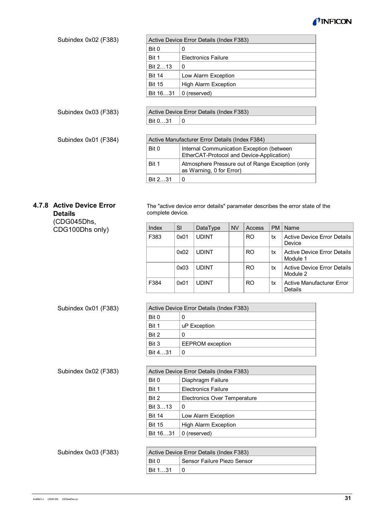

| Subindex 0x02 (F383)                                       |                  |           | Active Device Error Details (Index F383)                                               |           |           |           |                                                                              |
|------------------------------------------------------------|------------------|-----------|----------------------------------------------------------------------------------------|-----------|-----------|-----------|------------------------------------------------------------------------------|
|                                                            | Bit 0            | 0         |                                                                                        |           |           |           |                                                                              |
|                                                            | Bit 1            |           | <b>Electronics Failure</b>                                                             |           |           |           |                                                                              |
|                                                            | Bit 213          | 0         |                                                                                        |           |           |           |                                                                              |
|                                                            | <b>Bit 14</b>    |           | Low Alarm Exception                                                                    |           |           |           |                                                                              |
|                                                            | <b>Bit 15</b>    |           | <b>High Alarm Exception</b>                                                            |           |           |           |                                                                              |
|                                                            | Bit 1631         |           | 0 (reserved)                                                                           |           |           |           |                                                                              |
|                                                            |                  |           |                                                                                        |           |           |           |                                                                              |
| Subindex 0x03 (F383)                                       |                  |           | Active Device Error Details (Index F383)                                               |           |           |           |                                                                              |
|                                                            | Bit 031          | 0         |                                                                                        |           |           |           |                                                                              |
|                                                            |                  |           |                                                                                        |           |           |           |                                                                              |
| Subindex 0x01 (F384)                                       |                  |           | Active Manufacturer Error Details (Index F384)                                         |           |           |           |                                                                              |
|                                                            | Bit 0            |           | Internal Communication Exception (between<br>EtherCAT-Protocol and Device-Application) |           |           |           |                                                                              |
|                                                            | Bit 1            |           | Atmosphere Pressure out of Range Exception (only<br>as Warning, 0 for Error)           |           |           |           |                                                                              |
|                                                            | Bit 231          | 0         |                                                                                        |           |           |           |                                                                              |
| 4.7.8 Active Device Error<br><b>Details</b><br>(CDG045Dhs, | complete device. |           |                                                                                        |           |           |           | The "active device error details" parameter describes the error state of the |
| CDG100Dhs only)                                            | Index            | <b>SI</b> | DataType                                                                               | <b>NV</b> | Access    | <b>PM</b> | Name                                                                         |
|                                                            | F383             | 0x01      | <b>UDINT</b>                                                                           |           | <b>RO</b> | tx        | <b>Active Device Error Details</b><br>Device                                 |
|                                                            |                  | 0x02      | <b>UDINT</b>                                                                           |           | <b>RO</b> | tx        | <b>Active Device Error Details</b><br>Module 1                               |
|                                                            |                  | 0x03      | <b>UDINT</b>                                                                           |           | <b>RO</b> | tx        | <b>Active Device Error Details</b>                                           |

#### <span id="page-30-0"></span>Subindex 0x01 (F383)

| Active Device Error Details (Index F383) |                         |  |  |  |  |
|------------------------------------------|-------------------------|--|--|--|--|
| Bit 0                                    | 0                       |  |  |  |  |
| Bit 1                                    | uP Exception            |  |  |  |  |
| Bit 2                                    | 0                       |  |  |  |  |
| Bit 3                                    | <b>EEPROM</b> exception |  |  |  |  |
| Bit 431                                  | 0                       |  |  |  |  |

F384 | 0x01 | UDINT | | | RO | tx | Active Manufacturer Error

Module 2

Details

Subindex 0x02 (F383)

|               | Active Device Error Details (Index F383) |  |  |  |  |  |
|---------------|------------------------------------------|--|--|--|--|--|
| Bit 0         | Diaphragm Failure                        |  |  |  |  |  |
| Bit 1         | <b>Flectronics Failure</b>               |  |  |  |  |  |
| Bit 2         | Electronics Over Temperature             |  |  |  |  |  |
| Bit 313       | 0                                        |  |  |  |  |  |
| <b>Bit 14</b> | Low Alarm Exception                      |  |  |  |  |  |
| <b>Bit 15</b> | <b>High Alarm Exception</b>              |  |  |  |  |  |
| Bit 1631      | 0 (reserved)                             |  |  |  |  |  |

Active Device Error Details (Index F383) Bit 0 Sensor Failure Piezo Sensor Bit  $1...31$  0 Subindex 0x03 (F383)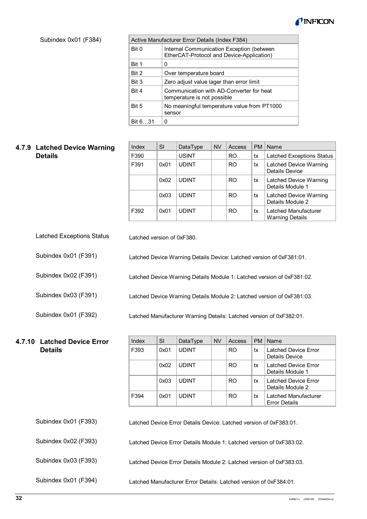

Subindex 0x01 (F384)

|         | Active Manufacturer Error Details (Index F384)                                         |  |  |  |  |  |  |
|---------|----------------------------------------------------------------------------------------|--|--|--|--|--|--|
| Bit 0   | Internal Communication Exception (between<br>EtherCAT-Protocol and Device-Application) |  |  |  |  |  |  |
| Bit 1   | 0                                                                                      |  |  |  |  |  |  |
| Bit 2   | Over temperature board                                                                 |  |  |  |  |  |  |
| Bit 3   | Zero adjust value lager than error limit                                               |  |  |  |  |  |  |
| Bit 4   | Communication with AD-Converter for heat<br>temperature is not possible                |  |  |  |  |  |  |
| Bit 5   | No meaningful temperature value from PT1000<br>sensor                                  |  |  |  |  |  |  |
| Bit 631 | 0                                                                                      |  |  |  |  |  |  |

# <span id="page-31-0"></span>**4.7.9 Latched Device Warning Details**

Subindex 0x01 (F392)

Subindex 0x02 (F393)

Subindex 0x01 (F394)

| Index | SI   | DataType     | <b>NV</b> | Access         | <b>PM</b> | Name                                           |
|-------|------|--------------|-----------|----------------|-----------|------------------------------------------------|
| F390  |      | <b>USINT</b> |           | R <sub>O</sub> | tx        | <b>Latched Exceptions Status</b>               |
| F391  | 0x01 | <b>UDINT</b> |           | RO.            | tx        | Latched Device Warning<br>Details Device       |
|       | 0x02 | <b>UDINT</b> |           | R <sub>O</sub> | tx        | Latched Device Warning<br>Details Module 1     |
|       | 0x03 | <b>UDINT</b> |           | R <sub>O</sub> | tx        | Latched Device Warning<br>Details Module 2     |
| F392  | 0x01 | <b>UDINT</b> |           | R <sub>O</sub> | tx        | Latched Manufacturer<br><b>Warning Details</b> |

- Latched version of 0xF380. Latched Exceptions Status
- Latched Device Warning Details Device: Latched version of 0xF381:01. Subindex 0x01 (F391)
- Latched Device Warning Details Module 1: Latched version of 0xF381:02. Subindex 0x02 (F391)
- Latched Device Warning Details Module 2: Latched version of 0xF381:03. Subindex 0x03 (F391)

Latched Manufacturer Warning Details: Latched version of 0xF382:01.

#### <span id="page-31-1"></span>Index SI DataType NV Access PM Name F393  $\vert$  0x01 | UDINT  $\vert$  | RO | tx | Latched Device Error Details Device  $0x02$  UDINT  $\vert$  RO  $\vert$  tx Latched Device Error Details Module 1  $0x03$  UDINT  $\vert$  RO  $\vert$  tx Latched Device Error Details Module 2 F394  $\vert$  0x01 UDINT  $\vert$  RO  $\vert$  tx Latched Manufacturer Error Details **4.7.10 Latched Device Error Details**

Latched Device Error Details Device: Latched version of 0xF383:01. Subindex 0x01 (F393)

Latched Device Error Details Module 1: Latched version of 0xF383:02.

Latched Device Error Details Module 2: Latched version of 0xF383:03. Subindex 0x03 (F393)

Latched Manufacturer Error Details: Latched version of 0xF384:01.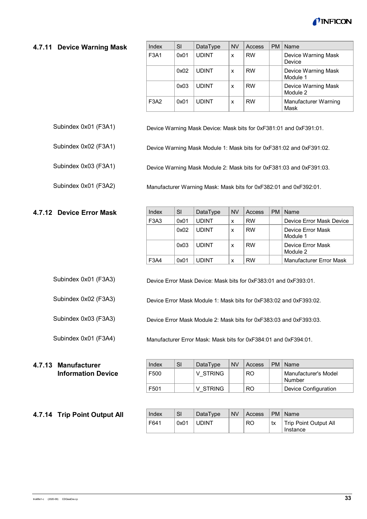

#### <span id="page-32-0"></span>**4.7.11 Device Warning Mask**

| Index | SI   | DataType     | <b>NV</b> | Access    | <b>PM</b> | Name                            |
|-------|------|--------------|-----------|-----------|-----------|---------------------------------|
| F3A1  | 0x01 | <b>UDINT</b> | X         | <b>RW</b> |           | Device Warning Mask<br>Device   |
|       | 0x02 | <b>UDINT</b> | X         | <b>RW</b> |           | Device Warning Mask<br>Module 1 |
|       | 0x03 | <b>UDINT</b> | X         | <b>RW</b> |           | Device Warning Mask<br>Module 2 |
| F3A2  | 0x01 | <b>UDINT</b> | X         | <b>RW</b> |           | Manufacturer Warning<br>Mask    |

- Device Warning Mask Device: Mask bits for 0xF381:01 and 0xF391:01. Subindex 0x01 (F3A1)
- Device Warning Mask Module 1: Mask bits for 0xF381:02 and 0xF391:02. Subindex 0x02 (F3A1)

Device Warning Mask Module 2: Mask bits for 0xF381:03 and 0xF391:03.

Manufacturer Warning Mask: Mask bits for 0xF382:01 and 0xF392:01. Subindex 0x01 (F3A2)

# <span id="page-32-1"></span>**4.7.12 Device Error Mask**

Subindex 0x03 (F3A1)

| Index | SI   | DataType     | <b>NV</b> | Access    | PM   Name                     |
|-------|------|--------------|-----------|-----------|-------------------------------|
| F3A3  | 0x01 | <b>UDINT</b> | x         | <b>RW</b> | Device Frror Mask Device      |
|       | 0x02 | <b>UDINT</b> | x         | <b>RW</b> | Device Error Mask<br>Module 1 |
|       | 0x03 | <b>UDINT</b> | x         | <b>RW</b> | Device Frror Mask<br>Module 2 |
| F3A4  | 0x01 | <b>UDINT</b> | X         | <b>RW</b> | Manufacturer Error Mask       |

Device Error Mask Device: Mask bits for 0xF383:01 and 0xF393:01. Subindex 0x01 (F3A3)

Device Error Mask Module 1: Mask bits for 0xF383:02 and 0xF393:02. Subindex 0x02 (F3A3)

Device Error Mask Module 2: Mask bits for 0xF383:03 and 0xF393:03. Subindex 0x03 (F3A3)

Manufacturer Error Mask: Mask bits for 0xF384:01 and 0xF394:01.

Subindex 0x01 (F3A4)

#### <span id="page-32-2"></span>**4.7.13 Manufacturer Information Device**

#### <span id="page-32-3"></span>**4.7.14 Trip Point Output All**

| Index | SI | DataType | <b>NV</b> | Access | PM   Name                                   |
|-------|----|----------|-----------|--------|---------------------------------------------|
| F500  |    | V STRING |           | RO     | <sup>I</sup> Manufacturer's Model<br>Number |
| F501  |    | V STRING |           | RO     | Device Configuration                        |

| Index | <b>SI</b> | DataTvpe     | NV Access |    | PM   Name                         |
|-------|-----------|--------------|-----------|----|-----------------------------------|
| F641  | 0x01      | <b>UDINT</b> | <b>RO</b> | tx | Trip Point Output All<br>Instance |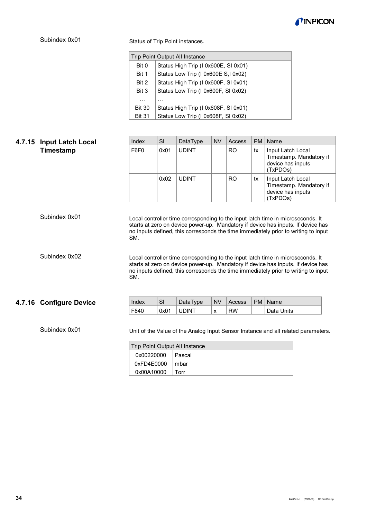

Status of Trip Point instances.

|               | <b>Trip Point Output All Instance</b> |  |  |  |  |  |
|---------------|---------------------------------------|--|--|--|--|--|
| Bit 0         | Status High Trip (I 0x600E, SI 0x01)  |  |  |  |  |  |
| Bit 1         | Status Low Trip (I 0x600E S,I 0x02)   |  |  |  |  |  |
| Bit 2         | Status High Trip (I 0x600F, SI 0x01)  |  |  |  |  |  |
| Bit 3         | Status Low Trip (10x600F, SI 0x02)    |  |  |  |  |  |
| .             | .                                     |  |  |  |  |  |
| <b>Bit 30</b> | Status High Trip (I 0x608F, SI 0x01)  |  |  |  |  |  |
| <b>Bit 31</b> | Status Low Trip (I 0x608F, SI 0x02)   |  |  |  |  |  |

<span id="page-33-0"></span>

| 4.7.15 | <b>Input Latch Local</b> | Index      | SI   | DataType                                        | <b>NV</b> | <b>Access</b> | <b>PM</b> | Name                                                                                                                                                                                                                                                      |
|--------|--------------------------|------------|------|-------------------------------------------------|-----------|---------------|-----------|-----------------------------------------------------------------------------------------------------------------------------------------------------------------------------------------------------------------------------------------------------------|
|        | Timestamp                | F6F0       | 0x01 | <b>UDINT</b>                                    |           | <b>RO</b>     | tx        | Input Latch Local<br>Timestamp. Mandatory if<br>device has inputs<br>(TxPDOs)                                                                                                                                                                             |
|        |                          |            | 0x02 | <b>UDINT</b>                                    |           | <b>RO</b>     | tx        | Input Latch Local<br>Timestamp. Mandatory if<br>device has inputs<br>(TxPDOs)                                                                                                                                                                             |
|        | Subindex 0x01            | SM.        |      |                                                 |           |               |           | Local controller time corresponding to the input latch time in microseconds. It<br>starts at zero on device power-up. Mandatory if device has inputs. If device has<br>no inputs defined, this corresponds the time immediately prior to writing to input |
|        | Subindex 0x02            | SM.        |      |                                                 |           |               |           | Local controller time corresponding to the input latch time in microseconds. It<br>starts at zero on device power-up. Mandatory if device has inputs. If device has<br>no inputs defined, this corresponds the time immediately prior to writing to input |
|        | 4.7.16 Configure Device  | Index      | SI   | DataType                                        | <b>NV</b> | Access        | <b>PM</b> | Name                                                                                                                                                                                                                                                      |
|        |                          | F840       | 0x01 | <b>UDINT</b>                                    | X         | <b>RW</b>     |           | Data Units                                                                                                                                                                                                                                                |
|        | Subindex 0x01            | 0x00220000 |      | <b>Trip Point Output All Instance</b><br>Pascal |           |               |           | Unit of the Value of the Analog Input Sensor Instance and all related parameters.                                                                                                                                                                         |

<span id="page-33-1"></span>

| Trip Point Output All Instance |       |  |  |  |  |  |
|--------------------------------|-------|--|--|--|--|--|
| 0x00220000   Pascal            |       |  |  |  |  |  |
| 0xFD4E0000                     | ∣mbar |  |  |  |  |  |
| 0x00A10000                     | Torr  |  |  |  |  |  |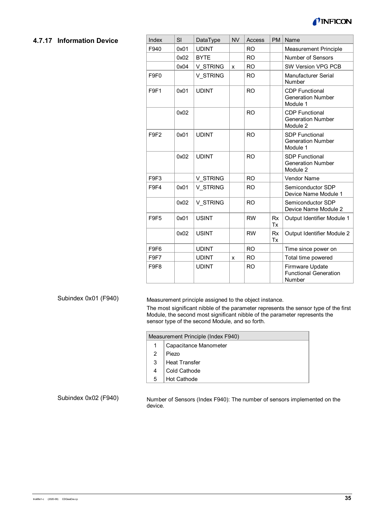

#### <span id="page-34-0"></span>**4.7.17 Information Device**

| Index            | SI   | DataType     | <b>NV</b> | <b>Access</b> | <b>PM</b>       | Name                                                          |
|------------------|------|--------------|-----------|---------------|-----------------|---------------------------------------------------------------|
| F940             | 0x01 | <b>UDINT</b> |           | <b>RO</b>     |                 | Measurement Principle                                         |
|                  | 0x02 | <b>BYTE</b>  |           | <b>RO</b>     |                 | <b>Number of Sensors</b>                                      |
|                  | 0x04 | V STRING     | x         | <b>RO</b>     |                 | SW Version VPG PCB                                            |
| F9F <sub>0</sub> |      | V STRING     |           | <b>RO</b>     |                 | Manufacturer Serial<br>Number                                 |
| F9F1             | 0x01 | <b>UDINT</b> |           | <b>RO</b>     |                 | <b>CDP</b> Functional<br><b>Generation Number</b><br>Module 1 |
|                  | 0x02 |              |           | <b>RO</b>     |                 | <b>CDP Functional</b><br><b>Generation Number</b><br>Module 2 |
| F9F <sub>2</sub> | 0x01 | <b>UDINT</b> |           | <b>RO</b>     |                 | <b>SDP Functional</b><br><b>Generation Number</b><br>Module 1 |
|                  | 0x02 | <b>UDINT</b> |           | <b>RO</b>     |                 | <b>SDP Functional</b><br><b>Generation Number</b><br>Module 2 |
| F9F3             |      | V STRING     |           | <b>RO</b>     |                 | <b>Vendor Name</b>                                            |
| F9F4             | 0x01 | V STRING     |           | <b>RO</b>     |                 | Semiconductor SDP<br>Device Name Module 1                     |
|                  | 0x02 | V STRING     |           | <b>RO</b>     |                 | Semiconductor SDP<br>Device Name Module 2                     |
| F9F5             | 0x01 | <b>USINT</b> |           | <b>RW</b>     | <b>Rx</b><br>Tx | Output Identifier Module 1                                    |
|                  | 0x02 | <b>USINT</b> |           | <b>RW</b>     | <b>Rx</b><br>Tx | Output Identifier Module 2                                    |
| F9F6             |      | <b>UDINT</b> |           | <b>RO</b>     |                 | Time since power on                                           |
| F9F7             |      | <b>UDINT</b> | x         | <b>RO</b>     |                 | Total time powered                                            |
| F9F8             |      | <b>UDINT</b> |           | <b>RO</b>     |                 | Firmware Update<br><b>Functional Generation</b><br>Number     |

#### Subindex 0x01 (F940)

Measurement principle assigned to the object instance.

The most significant nibble of the parameter represents the sensor type of the first Module, the second most significant nibble of the parameter represents the sensor type of the second Module, and so forth.

|   | Measurement Principle (Index F940) |  |  |  |  |  |
|---|------------------------------------|--|--|--|--|--|
|   | Capacitance Manometer              |  |  |  |  |  |
| 2 | Piezo                              |  |  |  |  |  |
| 3 | <b>Heat Transfer</b>               |  |  |  |  |  |
| 4 | Cold Cathode                       |  |  |  |  |  |
| 5 | <b>Hot Cathode</b>                 |  |  |  |  |  |

Subindex 0x02 (F940)

Number of Sensors (Index F940): The number of sensors implemented on the device.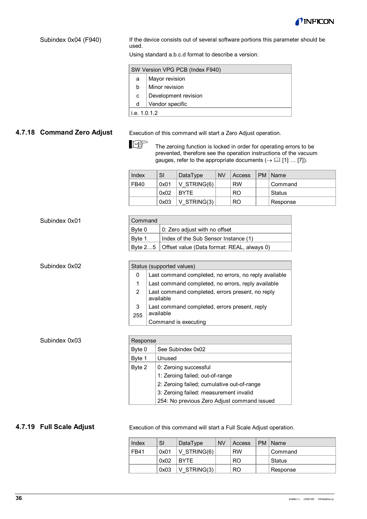

#### Subindex 0x04 (F940)

If the device consists out of several software portions this parameter should be used.

Using standard a.b.c.d format to describe a version:

|              | SW Version VPG PCB (Index F940) |  |  |  |  |  |
|--------------|---------------------------------|--|--|--|--|--|
| a            | Mayor revision                  |  |  |  |  |  |
| b            | Minor revision                  |  |  |  |  |  |
| C            | Development revision            |  |  |  |  |  |
| d            | Vendor specific                 |  |  |  |  |  |
| i.e. 1.0.1.2 |                                 |  |  |  |  |  |

# <span id="page-35-0"></span>**4.7.18 Command Zero Adjust**

Execution of this command will start a Zero Adjust operation.

**REA** The zeroing function is locked in order for operating errors to be prevented, therefore see the operation instructions of the vacuum gauges, refer to the appropriate documents  $(\rightarrow \Box$  [\[1\]](#page-39-0) ... [\[7\]\)](#page-39-6).

| Index | SI   | DataType      | <b>NV</b> | Access         | <b>PM</b> | Name     |
|-------|------|---------------|-----------|----------------|-----------|----------|
| FB40  | 0x01 | $V$ STRING(6) |           | <b>RW</b>      |           | Command  |
|       | 0x02 | <b>BYTE</b>   |           | R <sub>O</sub> |           | Status   |
|       | 0x03 | $V$ STRING(3) |           | R <sub>O</sub> |           | Response |

| Subindex 0x01 | Command       |                                                               |  |  |
|---------------|---------------|---------------------------------------------------------------|--|--|
|               | Byte 0        | 0: Zero adjust with no offset                                 |  |  |
|               | Byte 1        | Index of the Sub Sensor Instance (1)                          |  |  |
|               | Byte 25       | Offset value (Data format: REAL, always 0)                    |  |  |
|               |               |                                                               |  |  |
| Subindex 0x02 |               | Status (supported values)                                     |  |  |
|               | 0             | Last command completed, no errors, no reply available         |  |  |
|               | 1             | Last command completed, no errors, reply available            |  |  |
|               | $\mathcal{P}$ | Last command completed, errors present, no reply<br>available |  |  |
|               | 3             | Last command completed, errors present, reply                 |  |  |
|               | 255           | available                                                     |  |  |
|               |               | Command is executing                                          |  |  |
|               |               |                                                               |  |  |
| Subindex 0x03 | Response      |                                                               |  |  |
|               | Byte 0        | See Subindex 0x02                                             |  |  |

| Response |                                             |  |  |  |  |  |
|----------|---------------------------------------------|--|--|--|--|--|
| Byte 0   | See Subindex 0x02                           |  |  |  |  |  |
| Byte 1   | Unused                                      |  |  |  |  |  |
| Byte 2   | 0: Zeroing successful                       |  |  |  |  |  |
|          | 1: Zeroing failed; out-of-range             |  |  |  |  |  |
|          | 2: Zeroing failed; cumulative out-of-range  |  |  |  |  |  |
|          | 3: Zeroing failed: measurement invalid      |  |  |  |  |  |
|          | 254: No previous Zero Adjust command issued |  |  |  |  |  |

#### <span id="page-35-1"></span>**4.7.19 Full Scale Adjust**

Execution of this command will start a Full Scale Adjust operation.

| Index | SI   | DataType    | <b>NV</b> | Access    | PM | Name     |
|-------|------|-------------|-----------|-----------|----|----------|
| FB41  | 0x01 | V STRING(6) |           | <b>RW</b> |    | Command  |
|       | 0x02 | <b>BYTE</b> |           | <b>RO</b> |    | Status   |
|       | 0x03 | V STRING(3) |           | RO        |    | Response |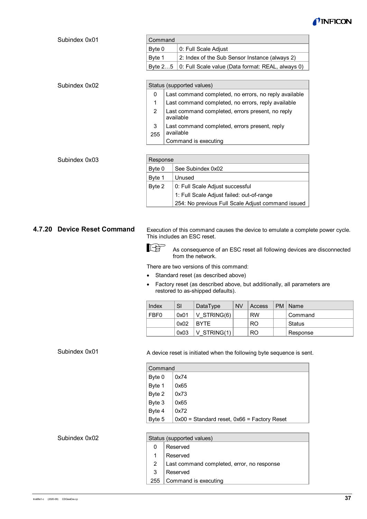

| Command  |                                                              |
|----------|--------------------------------------------------------------|
| Bvte 0   | 0: Full Scale Adjust                                         |
| l Bvte 1 | 2: Index of the Sub Sensor Instance (always 2)               |
|          | │Byte 2…5 │0: Full Scale value (Data format: REAL, always 0) |

|                                                            | Status (supported values)                                     |  |  |  |  |
|------------------------------------------------------------|---------------------------------------------------------------|--|--|--|--|
| Last command completed, no errors, no reply available<br>0 |                                                               |  |  |  |  |
|                                                            | Last command completed, no errors, reply available            |  |  |  |  |
|                                                            | Last command completed, errors present, no reply<br>available |  |  |  |  |
| 3<br>255                                                   | Last command completed, errors present, reply<br>available    |  |  |  |  |
|                                                            | Command is executing                                          |  |  |  |  |

Subindex 0x01

Subindex 0x02

|        | Response                                          |  |  |  |  |  |
|--------|---------------------------------------------------|--|--|--|--|--|
| Byte 0 | See Subindex 0x02                                 |  |  |  |  |  |
| Byte 1 | Unused                                            |  |  |  |  |  |
| Byte 2 | 0: Full Scale Adjust successful                   |  |  |  |  |  |
|        | 1: Full Scale Adjust failed: out-of-range         |  |  |  |  |  |
|        | 254: No previous Full Scale Adjust command issued |  |  |  |  |  |

#### <span id="page-36-0"></span>**4.7.20 Device Reset Command**

Execution of this command causes the device to emulate a complete power cycle. This includes an ESC reset.

llি∯ As consequence of an ESC reset all following devices are disconnected from the network.

There are two versions of this command:

- Standard reset (as described above)
- Factory reset (as described above, but additionally, all parameters are restored to as-shipped defaults).

| ∣ Index | SI   | DataType       | <b>NV</b> | Access    | PM | ∣Name    |
|---------|------|----------------|-----------|-----------|----|----------|
| ∣FBF0   | 0x01 | V STRING $(6)$ |           | <b>RW</b> |    | Command  |
|         | 0x02 | <b>BYTE</b>    |           | RO.       |    | ∣ Status |
|         | 0x03 | $ V$ STRING(1) |           | RO.       |    | Response |

#### Subindex 0x01

A device reset is initiated when the following byte sequence is sent.

| Command |                                                 |  |  |  |
|---------|-------------------------------------------------|--|--|--|
| Byte 0  | 0x74                                            |  |  |  |
| Byte 1  | 0x65                                            |  |  |  |
| Byte 2  | 0x73                                            |  |  |  |
| Byte 3  | 0x65                                            |  |  |  |
| Byte 4  | 0x72                                            |  |  |  |
| Byte 5  | $0x00 =$ Standard reset, $0x66 =$ Factory Reset |  |  |  |

#### Status (supported values) 0 1 2 3 255 Reserved Reserved Last command completed, error, no response Reserved Command is executing Subindex 0x02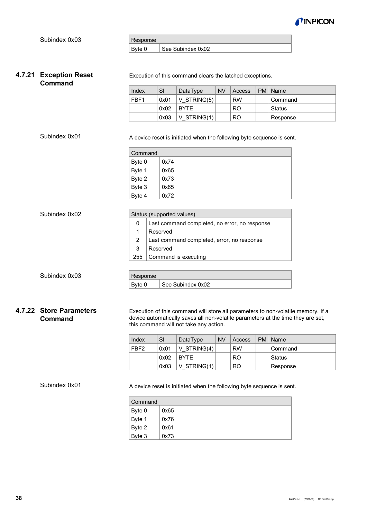

| Response |                   |
|----------|-------------------|
|          | See Subindex 0x02 |

Execution of this command clears the latched exceptions.

### <span id="page-37-0"></span>**4.7.21 Exception Reset Command**

Subindex 0x01

| Index            | SI   | DataType      | <b>NV</b> | Access    | PM   Name |
|------------------|------|---------------|-----------|-----------|-----------|
| FBF <sub>1</sub> | 0x01 | $V$ STRING(5) |           | <b>RW</b> | Command   |
|                  | 0x02 | <b>BYTE</b>   |           | RO        | Status    |
|                  | 0x03 | V STRING(1)   |           | RO        | Response  |

A device reset is initiated when the following byte sequence is sent.

| Command |      |  |  |
|---------|------|--|--|
| Byte 0  | 0x74 |  |  |
| Byte 1  | 0x65 |  |  |
| Byte 2  | 0x73 |  |  |
| Byte 3  | 0x65 |  |  |
| Byte 4  | 0x72 |  |  |

| Subindex 0x02 |          | Status (supported values)                     |  |  |  |
|---------------|----------|-----------------------------------------------|--|--|--|
|               | 0        | Last command completed, no error, no response |  |  |  |
|               | 1        | Reserved                                      |  |  |  |
|               | 2        | Last command completed, error, no response    |  |  |  |
|               | 3        | Reserved                                      |  |  |  |
|               | 255      | Command is executing                          |  |  |  |
|               |          |                                               |  |  |  |
| Subindex 0x03 | Response |                                               |  |  |  |
|               | Byte 0   | See Subindex 0x02                             |  |  |  |

# <span id="page-37-1"></span>**4.7.22 Store Parameters Command**

Execution of this command will store all parameters to non-volatile memory. If a device automatically saves all non-volatile parameters at the time they are set, this command will not take any action.

| Index            | SI   | DataType      | <b>NV</b> | Access         | PM   Name |
|------------------|------|---------------|-----------|----------------|-----------|
| FBF <sub>2</sub> | 0x01 | $V$ STRING(4) |           | <b>RW</b>      | Command   |
|                  | 0x02 | <b>BYTE</b>   |           | R <sub>O</sub> | Status    |
|                  | 0x03 | V STRING(1)   |           | R <sub>O</sub> | Response  |

#### Subindex 0x01

A device reset is initiated when the following byte sequence is sent.

| Command |      |  |
|---------|------|--|
| Byte 0  | 0x65 |  |
| Byte 1  | 0x76 |  |
| Byte 2  | 0x61 |  |
| Byte 3  | 0x73 |  |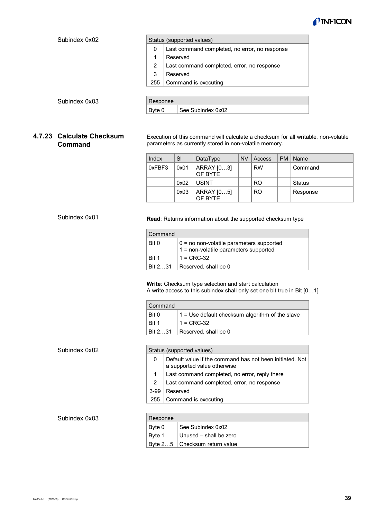

<span id="page-38-0"></span>

| Subindex 0x02                               |                                                                                                                                              | Status (supported values) |                                               |           |                |    |               |  |
|---------------------------------------------|----------------------------------------------------------------------------------------------------------------------------------------------|---------------------------|-----------------------------------------------|-----------|----------------|----|---------------|--|
|                                             | $\mathbf{0}$                                                                                                                                 |                           | Last command completed, no error, no response |           |                |    |               |  |
|                                             | 1                                                                                                                                            | Reserved                  |                                               |           |                |    |               |  |
|                                             | 2                                                                                                                                            |                           | Last command completed, error, no response    |           |                |    |               |  |
|                                             | 3                                                                                                                                            | Reserved                  |                                               |           |                |    |               |  |
|                                             | 255                                                                                                                                          |                           | Command is executing                          |           |                |    |               |  |
|                                             |                                                                                                                                              |                           |                                               |           |                |    |               |  |
| Subindex 0x03                               | Response                                                                                                                                     |                           |                                               |           |                |    |               |  |
|                                             | Byte 0                                                                                                                                       |                           | See Subindex 0x02                             |           |                |    |               |  |
|                                             |                                                                                                                                              |                           |                                               |           |                |    |               |  |
|                                             |                                                                                                                                              |                           |                                               |           |                |    |               |  |
| 4.7.23 Calculate Checksum<br><b>Command</b> | Execution of this command will calculate a checksum for all writable, non-volatile<br>parameters as currently stored in non-volatile memory. |                           |                                               |           |                |    |               |  |
|                                             | Index                                                                                                                                        | SI                        | DataType                                      | <b>NV</b> | Access         | PM | Name          |  |
|                                             | 0xFBF3                                                                                                                                       | 0x01                      | ARRAY [03]<br>OF BYTE                         |           | <b>RW</b>      |    | Command       |  |
|                                             |                                                                                                                                              | 0x02                      | <b>USINT</b>                                  |           | R <sub>O</sub> |    | <b>Status</b> |  |
|                                             |                                                                                                                                              | 0x03                      | ARRAY [05]<br>OF BYTE                         |           | R <sub>O</sub> |    | Response      |  |

**Read**: Returns information about the supported checksum type

| Command         |                                                                                     |  |  |
|-----------------|-------------------------------------------------------------------------------------|--|--|
| Bit 0           | $0 =$ no non-volatile parameters supported<br>1 = non-volatile parameters supported |  |  |
| Bit 1           | $1 = CRC-32$                                                                        |  |  |
| <b>Bit 2.31</b> | Reserved, shall be 0                                                                |  |  |

#### **Write**: Checksum type selection and start calculation A write access to this subindex shall only set one bit true in Bit [0…1]

| Command            |                                                       |  |
|--------------------|-------------------------------------------------------|--|
| Bit 0              | $\pm$ 1 = Use default checksum algorithm of the slave |  |
| <sup>∣</sup> Bit 1 | $1 = CRC-32$                                          |  |
| Bit 231            | Reserved, shall be 0                                  |  |

#### Subindex 0x02

| Status (supported values) |                                                                                         |  |  |
|---------------------------|-----------------------------------------------------------------------------------------|--|--|
| 0                         | Default value if the command has not been initiated. Not<br>a supported value otherwise |  |  |
|                           | Last command completed, no error, reply there                                           |  |  |
| 2                         | Last command completed, error, no response                                              |  |  |
| $3 - 99$                  | Reserved                                                                                |  |  |
| 255                       | Command is executing                                                                    |  |  |
|                           |                                                                                         |  |  |

#### Subindex 0x03

| Response |                                 |
|----------|---------------------------------|
| Byte 0   | See Subindex 0x02               |
| Byte 1   | Unused - shall be zero          |
|          | Byte $25$ Checksum return value |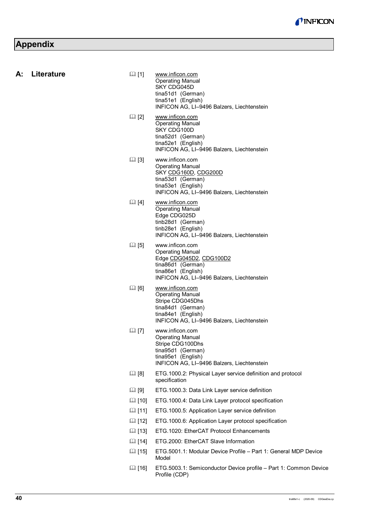# <span id="page-39-8"></span>**Appendix**

<span id="page-39-9"></span>**A: Literature**

<span id="page-39-7"></span><span id="page-39-6"></span><span id="page-39-5"></span><span id="page-39-4"></span><span id="page-39-3"></span><span id="page-39-2"></span><span id="page-39-1"></span><span id="page-39-0"></span>

| Literature | $\mathbb{Q}$ [1] | www.inficon.com<br><b>Operating Manual</b><br>SKY CDG045D<br>tina51d1 (German)<br>tina51e1 (English)<br>INFICON AG, LI-9496 Balzers, Liechtenstein             |
|------------|------------------|----------------------------------------------------------------------------------------------------------------------------------------------------------------|
|            | $\boxplus$ [2]   | www.inficon.com<br><b>Operating Manual</b><br>SKY CDG100D<br>tina52d1 (German)<br>tina52e1 (English)<br>INFICON AG, LI-9496 Balzers, Liechtenstein             |
|            | $\Box$ [3]       | www.inficon.com<br><b>Operating Manual</b><br>SKY CDG160D, CDG200D<br>tina53d1 (German)<br>tina53e1 (English)<br>INFICON AG, LI-9496 Balzers, Liechtenstein    |
|            | $\Box$ [4]       | www.inficon.com<br><b>Operating Manual</b><br>Edge CDG025D<br>tinb28d1 (German)<br>tinb28e1 (English)<br>INFICON AG, LI-9496 Balzers, Liechtenstein            |
|            | $\boxplus$ [5]   | www.inficon.com<br><b>Operating Manual</b><br>Edge CDG045D2, CDG100D2<br>tina86d1 (German)<br>tina86e1 (English)<br>INFICON AG, LI-9496 Balzers, Liechtenstein |
|            | $\Box$ [6]       | www.inficon.com<br><b>Operating Manual</b><br>Stripe CDG045Dhs<br>tina84d1 (German)<br>tina84e1 (English)<br>INFICON AG, LI-9496 Balzers, Liechtenstein        |
|            | $\boxplus$ [7]   | www.inficon.com<br><b>Operating Manual</b><br>Stripe CDG100Dhs<br>tina95d1 (German)<br>tina95e1 (English)<br>INFICON AG, LI-9496 Balzers, Liechtenstein        |
|            | [3]              | ETG.1000.2: Physical Layer service definition and protocol<br>specification                                                                                    |
|            | $\Box$ [9]       | ETG.1000.3: Data Link Layer service definition                                                                                                                 |
|            | <b>■[10]</b>     | ETG.1000.4: Data Link Layer protocol specification                                                                                                             |
|            | <b>Q</b> [11]    | ETG.1000.5: Application Layer service definition                                                                                                               |
|            | 国 [12]           | ETG.1000.6: Application Layer protocol specification                                                                                                           |
|            | 国 [13]           | ETG.1020: EtherCAT Protocol Enhancements                                                                                                                       |
|            | 国 [14]           | ETG.2000: EtherCAT Slave Information                                                                                                                           |
|            | [15]             | ETG.5001.1: Modular Device Profile - Part 1: General MDP Device<br>Model                                                                                       |
|            | 国 [16]           | ETG.5003.1: Semiconductor Device profile - Part 1: Common Device<br>Profile (CDP)                                                                              |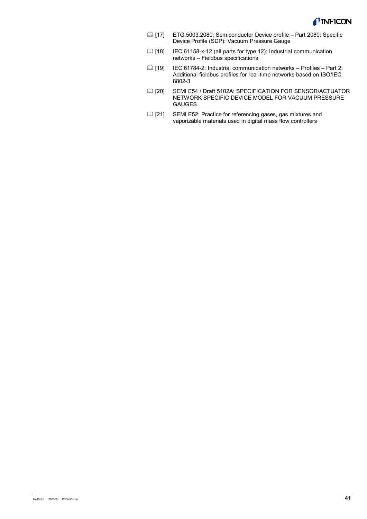

- <span id="page-40-0"></span> [17] ETG.5003.2080: Semiconductor Device profile – Part 2080: Specific Device Profile (SDP): Vacuum Pressure Gauge
- [18] IEC 61158-x-12 (all parts for type 12): Industrial communication networks – Fieldbus specifications
- [19] IEC 61784-2: Industrial communication networks Profiles Part 2: Additional fieldbus profiles for real-time networks based on ISO/IEC 8802-3
- [20] SEMI E54 / Draft 5102A: SPECIFICATION FOR SENSOR/ACTUATOR NETWORK SPECIFIC DEVICE MODEL FOR VACUUM PRESSURE GAUGES
- **[21]** SEMI E52: Practice for referencing gases, gas mixtures and vaporizable materials used in digital mass flow controllers